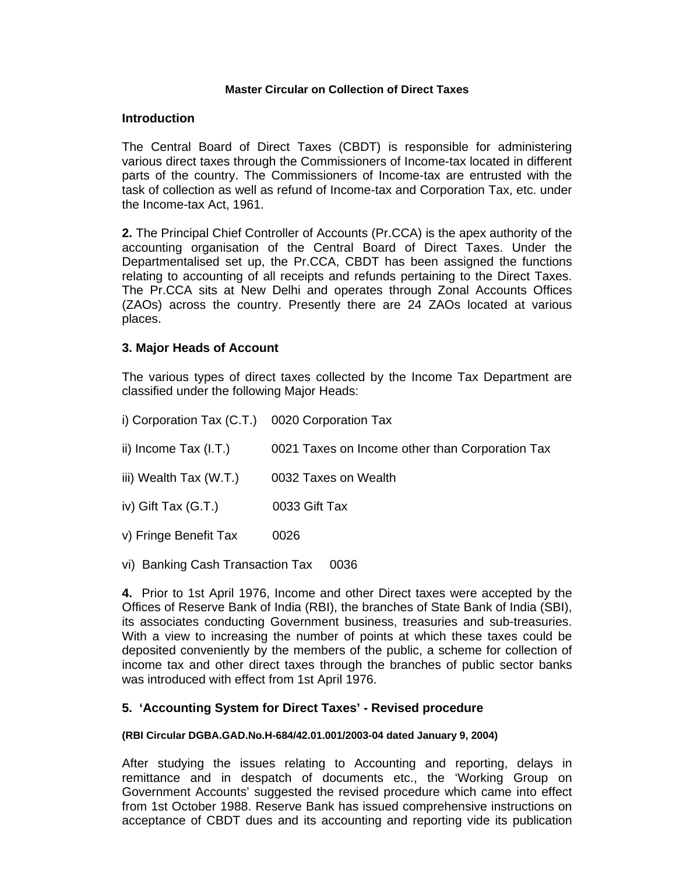### **Master Circular on Collection of Direct Taxes**

### **Introduction**

The Central Board of Direct Taxes (CBDT) is responsible for administering various direct taxes through the Commissioners of Income-tax located in different parts of the country. The Commissioners of Income-tax are entrusted with the task of collection as well as refund of Income-tax and Corporation Tax, etc. under the Income-tax Act, 1961.

**2.** The Principal Chief Controller of Accounts (Pr.CCA) is the apex authority of the accounting organisation of the Central Board of Direct Taxes. Under the Departmentalised set up, the Pr.CCA, CBDT has been assigned the functions relating to accounting of all receipts and refunds pertaining to the Direct Taxes. The Pr.CCA sits at New Delhi and operates through Zonal Accounts Offices (ZAOs) across the country. Presently there are 24 ZAOs located at various places.

### **3. Major Heads of Account**

The various types of direct taxes collected by the Income Tax Department are classified under the following Major Heads:

- i) Corporation Tax (C.T.) 0020 Corporation Tax ii) Income Tax (I.T.) 0021 Taxes on Income other than Corporation Tax iii) Wealth Tax (W.T.) 0032 Taxes on Wealth iv) Gift Tax (G.T.) 0033 Gift Tax v) Fringe Benefit Tax 0026
- vi) Banking Cash Transaction Tax 0036

**4.** Prior to 1st April 1976, Income and other Direct taxes were accepted by the Offices of Reserve Bank of India (RBI), the branches of State Bank of India (SBI), its associates conducting Government business, treasuries and sub-treasuries. With a view to increasing the number of points at which these taxes could be deposited conveniently by the members of the public, a scheme for collection of income tax and other direct taxes through the branches of public sector banks was introduced with effect from 1st April 1976.

## **5. 'Accounting System for Direct Taxes' - Revised procedure**

#### **(RBI Circular DGBA.GAD.No.H-684/42.01.001/2003-04 dated January 9, 2004)**

After studying the issues relating to Accounting and reporting, delays in remittance and in despatch of documents etc., the 'Working Group on Government Accounts' suggested the revised procedure which came into effect from 1st October 1988. Reserve Bank has issued comprehensive instructions on acceptance of CBDT dues and its accounting and reporting vide its publication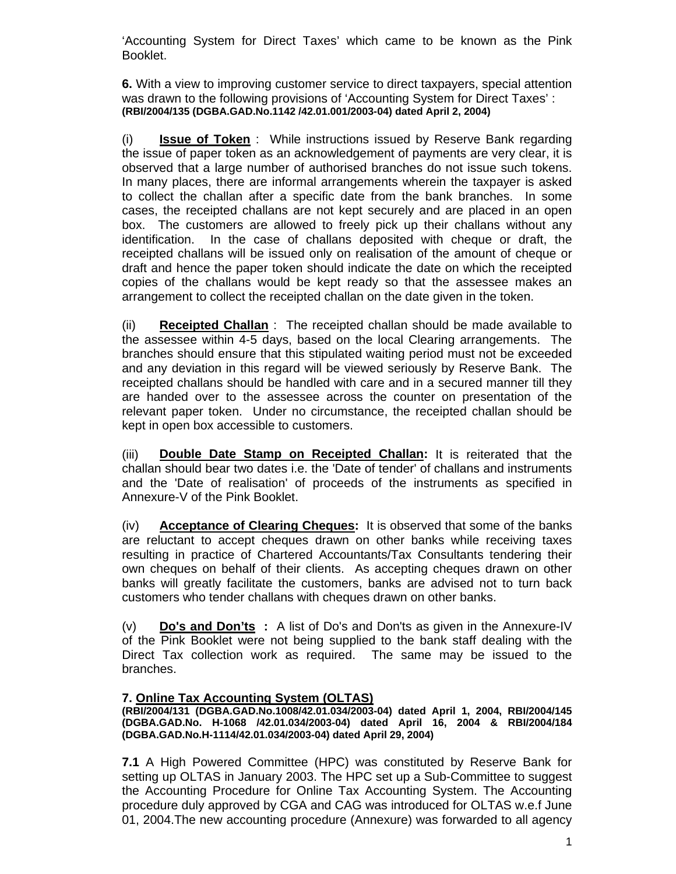'Accounting System for Direct Taxes' which came to be known as the Pink Booklet.

**6.** With a view to improving customer service to direct taxpayers, special attention was drawn to the following provisions of 'Accounting System for Direct Taxes' : **(RBI/2004/135 (DGBA.GAD.No.1142 /42.01.001/2003-04) dated April 2, 2004)** 

(i) **Issue of Token** : While instructions issued by Reserve Bank regarding the issue of paper token as an acknowledgement of payments are very clear, it is observed that a large number of authorised branches do not issue such tokens. In many places, there are informal arrangements wherein the taxpayer is asked to collect the challan after a specific date from the bank branches. In some cases, the receipted challans are not kept securely and are placed in an open box. The customers are allowed to freely pick up their challans without any identification. In the case of challans deposited with cheque or draft, the receipted challans will be issued only on realisation of the amount of cheque or draft and hence the paper token should indicate the date on which the receipted copies of the challans would be kept ready so that the assessee makes an arrangement to collect the receipted challan on the date given in the token.

(ii) **Receipted Challan** : The receipted challan should be made available to the assessee within 4-5 days, based on the local Clearing arrangements. The branches should ensure that this stipulated waiting period must not be exceeded and any deviation in this regard will be viewed seriously by Reserve Bank. The receipted challans should be handled with care and in a secured manner till they are handed over to the assessee across the counter on presentation of the relevant paper token. Under no circumstance, the receipted challan should be kept in open box accessible to customers.

(iii) **Double Date Stamp on Receipted Challan:** It is reiterated that the challan should bear two dates i.e. the 'Date of tender' of challans and instruments and the 'Date of realisation' of proceeds of the instruments as specified in Annexure-V of the Pink Booklet.

(iv) **Acceptance of Clearing Cheques:** It is observed that some of the banks are reluctant to accept cheques drawn on other banks while receiving taxes resulting in practice of Chartered Accountants/Tax Consultants tendering their own cheques on behalf of their clients. As accepting cheques drawn on other banks will greatly facilitate the customers, banks are advised not to turn back customers who tender challans with cheques drawn on other banks.

(v) **Do's and Don'ts :** A list of Do's and Don'ts as given in the Annexure-IV of the Pink Booklet were not being supplied to the bank staff dealing with the Direct Tax collection work as required. The same may be issued to the branches.

## **7. Online Tax Accounting System (OLTAS)**

#### **(RBI/2004/131 (DGBA.GAD.No.1008/42.01.034/2003-04) dated April 1, 2004, RBI/2004/145 (DGBA.GAD.No. H-1068 /42.01.034/2003-04) dated April 16, 2004 & RBI/2004/184 (DGBA.GAD.No.H-1114/42.01.034/2003-04) dated April 29, 2004)**

**7.1** A High Powered Committee (HPC) was constituted by Reserve Bank for setting up OLTAS in January 2003. The HPC set up a Sub-Committee to suggest the Accounting Procedure for Online Tax Accounting System. The Accounting procedure duly approved by CGA and CAG was introduced for OLTAS w.e.f June 01, 2004.The new accounting procedure (Annexure) was forwarded to all agency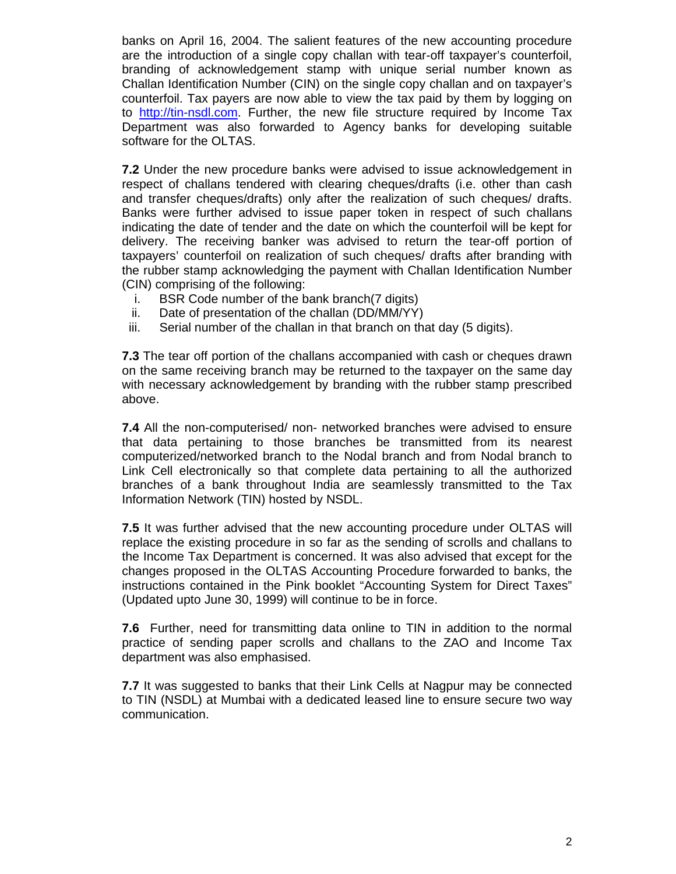banks on April 16, 2004. The salient features of the new accounting procedure are the introduction of a single copy challan with tear-off taxpayer's counterfoil, branding of acknowledgement stamp with unique serial number known as Challan Identification Number (CIN) on the single copy challan and on taxpayer's counterfoil. Tax payers are now able to view the tax paid by them by logging on to http://tin-nsdl.com. Further, the new file structure required by Income Tax Department was also forwarded to Agency banks for developing suitable software for the OLTAS.

**7.2** Under the new procedure banks were advised to issue acknowledgement in respect of challans tendered with clearing cheques/drafts (i.e. other than cash and transfer cheques/drafts) only after the realization of such cheques/ drafts. Banks were further advised to issue paper token in respect of such challans indicating the date of tender and the date on which the counterfoil will be kept for delivery. The receiving banker was advised to return the tear-off portion of taxpayers' counterfoil on realization of such cheques/ drafts after branding with the rubber stamp acknowledging the payment with Challan Identification Number (CIN) comprising of the following:

- i. BSR Code number of the bank branch(7 digits)
- ii. Date of presentation of the challan (DD/MM/YY)
- iii. Serial number of the challan in that branch on that day (5 digits).

**7.3** The tear off portion of the challans accompanied with cash or cheques drawn on the same receiving branch may be returned to the taxpayer on the same day with necessary acknowledgement by branding with the rubber stamp prescribed above.

**7.4** All the non-computerised/ non- networked branches were advised to ensure that data pertaining to those branches be transmitted from its nearest computerized/networked branch to the Nodal branch and from Nodal branch to Link Cell electronically so that complete data pertaining to all the authorized branches of a bank throughout India are seamlessly transmitted to the Tax Information Network (TIN) hosted by NSDL.

**7.5** It was further advised that the new accounting procedure under OLTAS will replace the existing procedure in so far as the sending of scrolls and challans to the Income Tax Department is concerned. It was also advised that except for the changes proposed in the OLTAS Accounting Procedure forwarded to banks, the instructions contained in the Pink booklet "Accounting System for Direct Taxes" (Updated upto June 30, 1999) will continue to be in force.

**7.6** Further, need for transmitting data online to TIN in addition to the normal practice of sending paper scrolls and challans to the ZAO and Income Tax department was also emphasised.

**7.7** It was suggested to banks that their Link Cells at Nagpur may be connected to TIN (NSDL) at Mumbai with a dedicated leased line to ensure secure two way communication.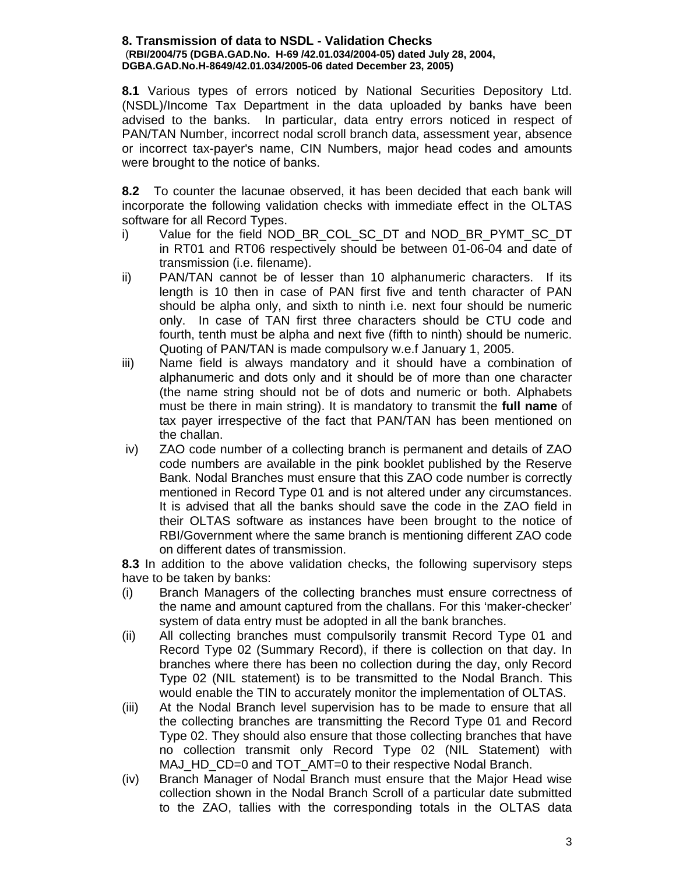#### **8. Transmission of data to NSDL - Validation Checks** (**RBI/2004/75 (DGBA.GAD.No. H-69 /42.01.034/2004-05) dated July 28, 2004, DGBA.GAD.No.H-8649/42.01.034/2005-06 dated December 23, 2005)**

**8.1** Various types of errors noticed by National Securities Depository Ltd. (NSDL)/Income Tax Department in the data uploaded by banks have been advised to the banks. In particular, data entry errors noticed in respect of PAN/TAN Number, incorrect nodal scroll branch data, assessment year, absence or incorrect tax-payer's name, CIN Numbers, major head codes and amounts were brought to the notice of banks.

**8.2** To counter the lacunae observed, it has been decided that each bank will incorporate the following validation checks with immediate effect in the OLTAS software for all Record Types.

- i) Value for the field NOD\_BR\_COL\_SC\_DT and NOD\_BR\_PYMT\_SC\_DT in RT01 and RT06 respectively should be between 01-06-04 and date of transmission (i.e. filename).
- ii) PAN/TAN cannot be of lesser than 10 alphanumeric characters. If its length is 10 then in case of PAN first five and tenth character of PAN should be alpha only, and sixth to ninth i.e. next four should be numeric only. In case of TAN first three characters should be CTU code and fourth, tenth must be alpha and next five (fifth to ninth) should be numeric. Quoting of PAN/TAN is made compulsory w.e.f January 1, 2005.
- iii) Name field is always mandatory and it should have a combination of alphanumeric and dots only and it should be of more than one character (the name string should not be of dots and numeric or both. Alphabets must be there in main string). It is mandatory to transmit the **full name** of tax payer irrespective of the fact that PAN/TAN has been mentioned on the challan.
- iv) ZAO code number of a collecting branch is permanent and details of ZAO code numbers are available in the pink booklet published by the Reserve Bank. Nodal Branches must ensure that this ZAO code number is correctly mentioned in Record Type 01 and is not altered under any circumstances. It is advised that all the banks should save the code in the ZAO field in their OLTAS software as instances have been brought to the notice of RBI/Government where the same branch is mentioning different ZAO code on different dates of transmission.

**8.3** In addition to the above validation checks, the following supervisory steps have to be taken by banks:

- (i) Branch Managers of the collecting branches must ensure correctness of the name and amount captured from the challans. For this 'maker-checker' system of data entry must be adopted in all the bank branches.
- (ii) All collecting branches must compulsorily transmit Record Type 01 and Record Type 02 (Summary Record), if there is collection on that day. In branches where there has been no collection during the day, only Record Type 02 (NIL statement) is to be transmitted to the Nodal Branch. This would enable the TIN to accurately monitor the implementation of OLTAS.
- (iii) At the Nodal Branch level supervision has to be made to ensure that all the collecting branches are transmitting the Record Type 01 and Record Type 02. They should also ensure that those collecting branches that have no collection transmit only Record Type 02 (NIL Statement) with MAJ\_HD\_CD=0 and TOT\_AMT=0 to their respective Nodal Branch.
- (iv) Branch Manager of Nodal Branch must ensure that the Major Head wise collection shown in the Nodal Branch Scroll of a particular date submitted to the ZAO, tallies with the corresponding totals in the OLTAS data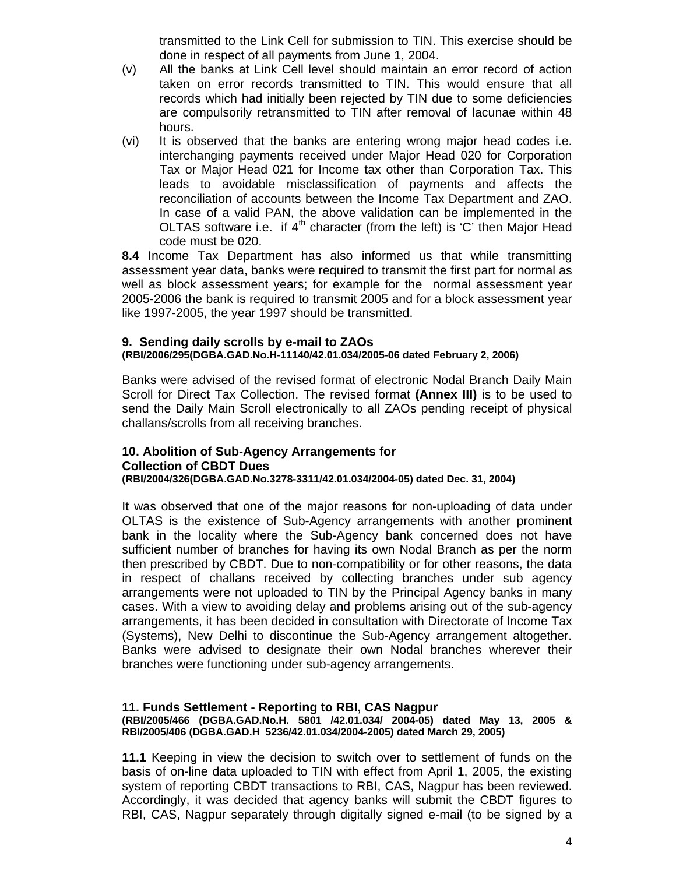transmitted to the Link Cell for submission to TIN. This exercise should be done in respect of all payments from June 1, 2004.

- (v) All the banks at Link Cell level should maintain an error record of action taken on error records transmitted to TIN. This would ensure that all records which had initially been rejected by TIN due to some deficiencies are compulsorily retransmitted to TIN after removal of lacunae within 48 hours.
- (vi) It is observed that the banks are entering wrong major head codes i.e. interchanging payments received under Major Head 020 for Corporation Tax or Major Head 021 for Income tax other than Corporation Tax. This leads to avoidable misclassification of payments and affects the reconciliation of accounts between the Income Tax Department and ZAO. In case of a valid PAN, the above validation can be implemented in the OLTAS software i.e. if  $4<sup>th</sup>$  character (from the left) is 'C' then Major Head code must be 020.

**8.4** Income Tax Department has also informed us that while transmitting assessment year data, banks were required to transmit the first part for normal as well as block assessment years; for example for the normal assessment year 2005-2006 the bank is required to transmit 2005 and for a block assessment year like 1997-2005, the year 1997 should be transmitted.

### **9. Sending daily scrolls by e-mail to ZAOs (RBI/2006/295(DGBA.GAD.No.H-11140/42.01.034/2005-06 dated February 2, 2006)**

Banks were advised of the revised format of electronic Nodal Branch Daily Main Scroll for Direct Tax Collection. The revised format **(Annex III)** is to be used to send the Daily Main Scroll electronically to all ZAOs pending receipt of physical challans/scrolls from all receiving branches.

### **10. Abolition of Sub-Agency Arrangements for Collection of CBDT Dues (RBI/2004/326(DGBA.GAD.No.3278-3311/42.01.034/2004-05) dated Dec. 31, 2004)**

It was observed that one of the major reasons for non-uploading of data under OLTAS is the existence of Sub-Agency arrangements with another prominent bank in the locality where the Sub-Agency bank concerned does not have sufficient number of branches for having its own Nodal Branch as per the norm then prescribed by CBDT. Due to non-compatibility or for other reasons, the data in respect of challans received by collecting branches under sub agency arrangements were not uploaded to TIN by the Principal Agency banks in many cases. With a view to avoiding delay and problems arising out of the sub-agency arrangements, it has been decided in consultation with Directorate of Income Tax (Systems), New Delhi to discontinue the Sub-Agency arrangement altogether. Banks were advised to designate their own Nodal branches wherever their branches were functioning under sub-agency arrangements.

## **11. Funds Settlement - Reporting to RBI, CAS Nagpur**

#### **(RBI/2005/466 (DGBA.GAD.No.H. 5801 /42.01.034/ 2004-05) dated May 13, 2005 & RBI/2005/406 (DGBA.GAD.H 5236/42.01.034/2004-2005) dated March 29, 2005)**

**11.1** Keeping in view the decision to switch over to settlement of funds on the basis of on-line data uploaded to TIN with effect from April 1, 2005, the existing system of reporting CBDT transactions to RBI, CAS, Nagpur has been reviewed. Accordingly, it was decided that agency banks will submit the CBDT figures to RBI, CAS, Nagpur separately through digitally signed e-mail (to be signed by a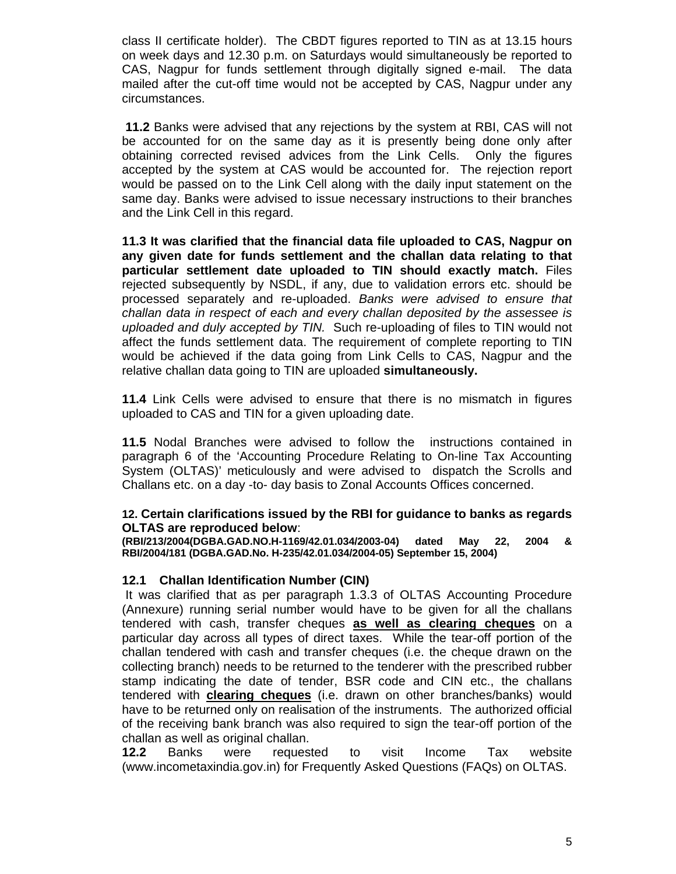class II certificate holder). The CBDT figures reported to TIN as at 13.15 hours on week days and 12.30 p.m. on Saturdays would simultaneously be reported to CAS, Nagpur for funds settlement through digitally signed e-mail. The data mailed after the cut-off time would not be accepted by CAS, Nagpur under any circumstances.

**11.2** Banks were advised that any rejections by the system at RBI, CAS will not be accounted for on the same day as it is presently being done only after obtaining corrected revised advices from the Link Cells. Only the figures accepted by the system at CAS would be accounted for. The rejection report would be passed on to the Link Cell along with the daily input statement on the same day. Banks were advised to issue necessary instructions to their branches and the Link Cell in this regard.

**11.3 It was clarified that the financial data file uploaded to CAS, Nagpur on any given date for funds settlement and the challan data relating to that particular settlement date uploaded to TIN should exactly match.** Files rejected subsequently by NSDL, if any, due to validation errors etc. should be processed separately and re-uploaded. *Banks were advised to ensure that challan data in respect of each and every challan deposited by the assessee is uploaded and duly accepted by TIN.* Such re-uploading of files to TIN would not affect the funds settlement data. The requirement of complete reporting to TIN would be achieved if the data going from Link Cells to CAS, Nagpur and the relative challan data going to TIN are uploaded **simultaneously.** 

**11.4** Link Cells were advised to ensure that there is no mismatch in figures uploaded to CAS and TIN for a given uploading date.

**11.5** Nodal Branches were advised to follow the instructions contained in paragraph 6 of the 'Accounting Procedure Relating to On-line Tax Accounting System (OLTAS)' meticulously and were advised to dispatch the Scrolls and Challans etc. on a day -to- day basis to Zonal Accounts Offices concerned.

### **12. Certain clarifications issued by the RBI for guidance to banks as regards OLTAS are reproduced below**:

**(RBI/213/2004(DGBA.GAD.NO.H-1169/42.01.034/2003-04) dated May 22, 2004 & RBI/2004/181 (DGBA.GAD.No. H-235/42.01.034/2004-05) September 15, 2004)** 

## **12.1 Challan Identification Number (CIN)**

 It was clarified that as per paragraph 1.3.3 of OLTAS Accounting Procedure (Annexure) running serial number would have to be given for all the challans tendered with cash, transfer cheques **as well as clearing cheques** on a particular day across all types of direct taxes. While the tear-off portion of the challan tendered with cash and transfer cheques (i.e. the cheque drawn on the collecting branch) needs to be returned to the tenderer with the prescribed rubber stamp indicating the date of tender, BSR code and CIN etc., the challans tendered with **clearing cheques** (i.e. drawn on other branches/banks) would have to be returned only on realisation of the instruments. The authorized official of the receiving bank branch was also required to sign the tear-off portion of the challan as well as original challan.

**12.2** Banks were requested to visit Income Tax website (www.incometaxindia.gov.in) for Frequently Asked Questions (FAQs) on OLTAS.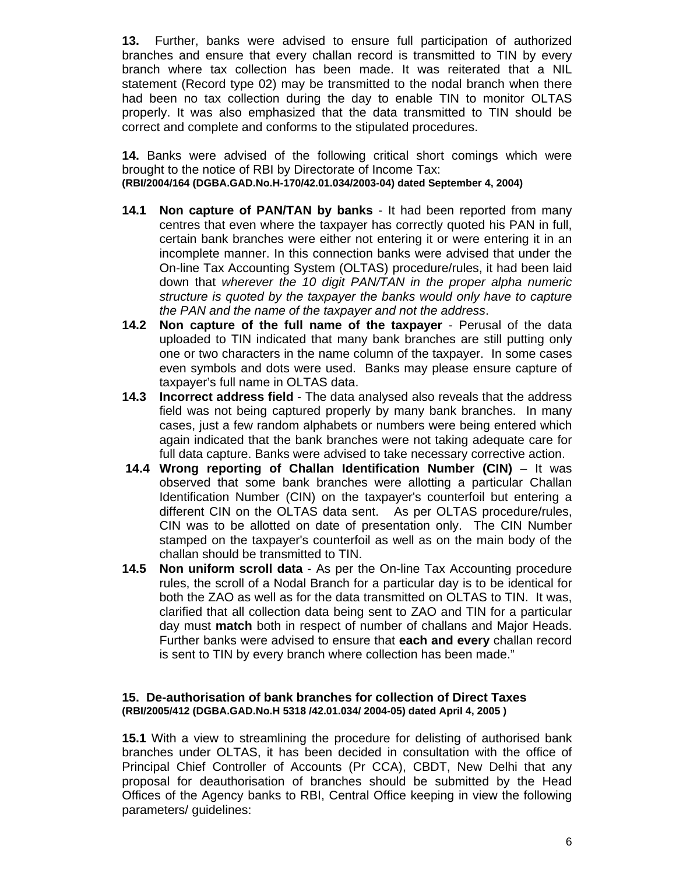**13.** Further, banks were advised to ensure full participation of authorized branches and ensure that every challan record is transmitted to TIN by every branch where tax collection has been made. It was reiterated that a NIL statement (Record type 02) may be transmitted to the nodal branch when there had been no tax collection during the day to enable TIN to monitor OLTAS properly. It was also emphasized that the data transmitted to TIN should be correct and complete and conforms to the stipulated procedures.

**14.** Banks were advised of the following critical short comings which were brought to the notice of RBI by Directorate of Income Tax: **(RBI/2004/164 (DGBA.GAD.No.H-170/42.01.034/2003-04) dated September 4, 2004)** 

- **14.1 Non capture of PAN/TAN by banks** It had been reported from many centres that even where the taxpayer has correctly quoted his PAN in full, certain bank branches were either not entering it or were entering it in an incomplete manner. In this connection banks were advised that under the On-line Tax Accounting System (OLTAS) procedure/rules, it had been laid down that *wherever the 10 digit PAN/TAN in the proper alpha numeric structure is quoted by the taxpayer the banks would only have to capture the PAN and the name of the taxpayer and not the address*.
- **14.2 Non capture of the full name of the taxpayer** Perusal of the data uploaded to TIN indicated that many bank branches are still putting only one or two characters in the name column of the taxpayer. In some cases even symbols and dots were used. Banks may please ensure capture of taxpayer's full name in OLTAS data.
- **14.3 Incorrect address field**  The data analysed also reveals that the address field was not being captured properly by many bank branches. In many cases, just a few random alphabets or numbers were being entered which again indicated that the bank branches were not taking adequate care for full data capture. Banks were advised to take necessary corrective action.
- **14.4 Wrong reporting of Challan Identification Number (CIN)** It was observed that some bank branches were allotting a particular Challan Identification Number (CIN) on the taxpayer's counterfoil but entering a different CIN on the OLTAS data sent. As per OLTAS procedure/rules, CIN was to be allotted on date of presentation only. The CIN Number stamped on the taxpayer's counterfoil as well as on the main body of the challan should be transmitted to TIN.
- **14.5 Non uniform scroll data** As per the On-line Tax Accounting procedure rules, the scroll of a Nodal Branch for a particular day is to be identical for both the ZAO as well as for the data transmitted on OLTAS to TIN. It was, clarified that all collection data being sent to ZAO and TIN for a particular day must **match** both in respect of number of challans and Major Heads. Further banks were advised to ensure that **each and every** challan record is sent to TIN by every branch where collection has been made."

### **15. De-authorisation of bank branches for collection of Direct Taxes (RBI/2005/412 (DGBA.GAD.No.H 5318 /42.01.034/ 2004-05) dated April 4, 2005 )**

**15.1** With a view to streamlining the procedure for delisting of authorised bank branches under OLTAS, it has been decided in consultation with the office of Principal Chief Controller of Accounts (Pr CCA), CBDT, New Delhi that any proposal for deauthorisation of branches should be submitted by the Head Offices of the Agency banks to RBI, Central Office keeping in view the following parameters/ guidelines: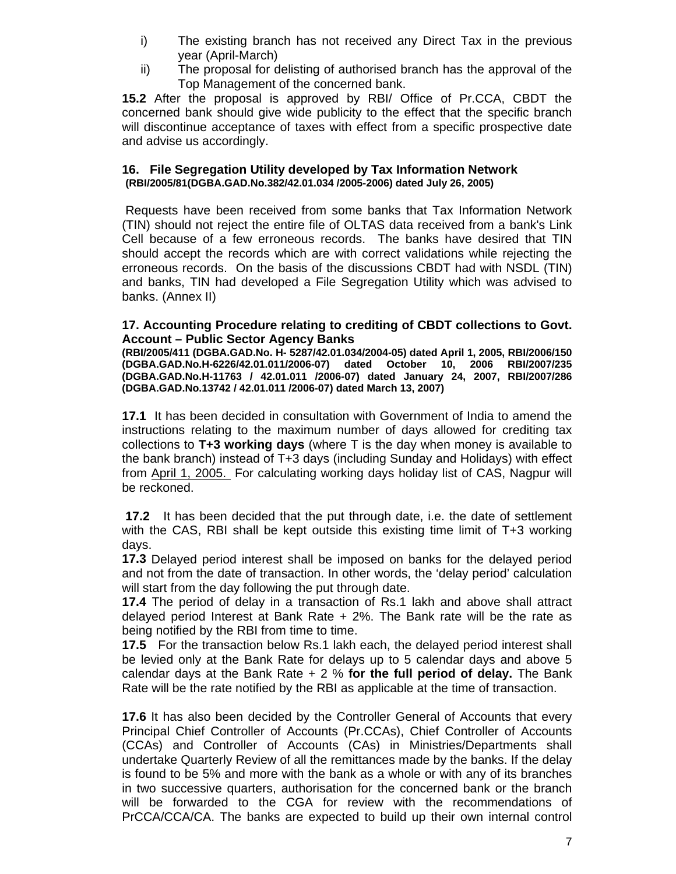- i) The existing branch has not received any Direct Tax in the previous year (April-March)
- ii) The proposal for delisting of authorised branch has the approval of the Top Management of the concerned bank.

**15.2** After the proposal is approved by RBI/ Office of Pr.CCA, CBDT the concerned bank should give wide publicity to the effect that the specific branch will discontinue acceptance of taxes with effect from a specific prospective date and advise us accordingly.

### **16. File Segregation Utility developed by Tax Information Network (RBI/2005/81(DGBA.GAD.No.382/42.01.034 /2005-2006) dated July 26, 2005)**

 Requests have been received from some banks that Tax Information Network (TIN) should not reject the entire file of OLTAS data received from a bank's Link Cell because of a few erroneous records. The banks have desired that TIN should accept the records which are with correct validations while rejecting the erroneous records. On the basis of the discussions CBDT had with NSDL (TIN) and banks, TIN had developed a File Segregation Utility which was advised to banks. (Annex II)

### **17. Accounting Procedure relating to crediting of CBDT collections to Govt. Account – Public Sector Agency Banks**

**(RBI/2005/411 (DGBA.GAD.No. H- 5287/42.01.034/2004-05) dated April 1, 2005, RBI/2006/150 (DGBA.GAD.No.H-6226/42.01.011/2006-07) dated October 10, 2006 RBI/2007/235 (DGBA.GAD.No.H-11763 / 42.01.011 /2006-07) dated January 24, 2007, RBI/2007/286 (DGBA.GAD.No.13742 / 42.01.011 /2006-07) dated March 13, 2007)** 

**17.1** It has been decided in consultation with Government of India to amend the instructions relating to the maximum number of days allowed for crediting tax collections to **T+3 working days** (where T is the day when money is available to the bank branch) instead of T+3 days (including Sunday and Holidays) with effect from April 1, 2005. For calculating working days holiday list of CAS, Nagpur will be reckoned.

**17.2** It has been decided that the put through date, i.e. the date of settlement with the CAS, RBI shall be kept outside this existing time limit of T+3 working days.

**17.3** Delayed period interest shall be imposed on banks for the delayed period and not from the date of transaction. In other words, the 'delay period' calculation will start from the day following the put through date.

**17.4** The period of delay in a transaction of Rs.1 lakh and above shall attract delayed period Interest at Bank Rate + 2%. The Bank rate will be the rate as being notified by the RBI from time to time.

**17.5** For the transaction below Rs.1 lakh each, the delayed period interest shall be levied only at the Bank Rate for delays up to 5 calendar days and above 5 calendar days at the Bank Rate + 2 % **for the full period of delay.** The Bank Rate will be the rate notified by the RBI as applicable at the time of transaction.

**17.6** It has also been decided by the Controller General of Accounts that every Principal Chief Controller of Accounts (Pr.CCAs), Chief Controller of Accounts (CCAs) and Controller of Accounts (CAs) in Ministries/Departments shall undertake Quarterly Review of all the remittances made by the banks. If the delay is found to be 5% and more with the bank as a whole or with any of its branches in two successive quarters, authorisation for the concerned bank or the branch will be forwarded to the CGA for review with the recommendations of PrCCA/CCA/CA. The banks are expected to build up their own internal control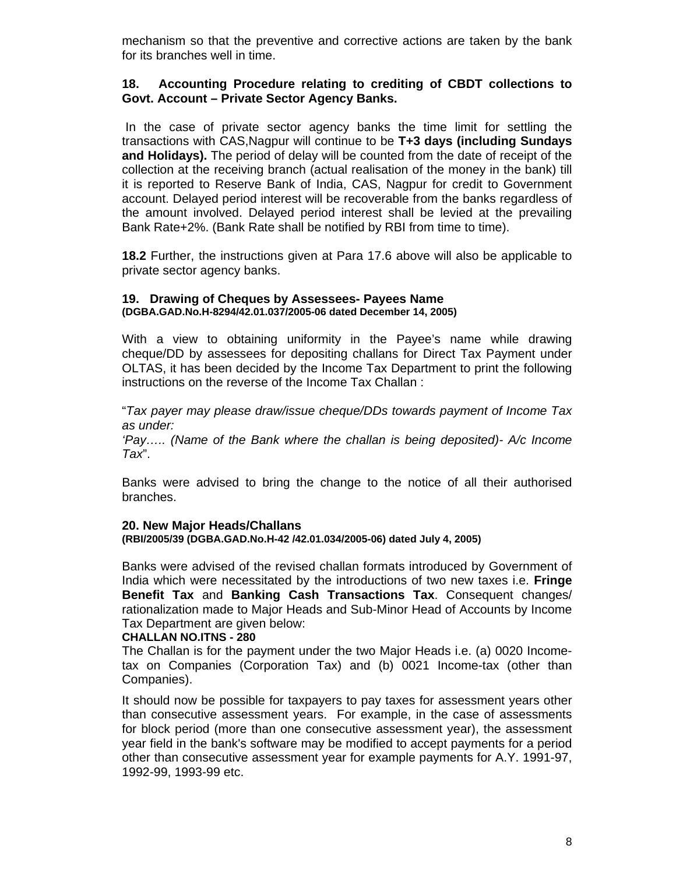mechanism so that the preventive and corrective actions are taken by the bank for its branches well in time.

### **18. Accounting Procedure relating to crediting of CBDT collections to Govt. Account – Private Sector Agency Banks.**

 In the case of private sector agency banks the time limit for settling the transactions with CAS,Nagpur will continue to be **T+3 days (including Sundays and Holidays).** The period of delay will be counted from the date of receipt of the collection at the receiving branch (actual realisation of the money in the bank) till it is reported to Reserve Bank of India, CAS, Nagpur for credit to Government account. Delayed period interest will be recoverable from the banks regardless of the amount involved. Delayed period interest shall be levied at the prevailing Bank Rate+2%. (Bank Rate shall be notified by RBI from time to time).

**18.2** Further, the instructions given at Para 17.6 above will also be applicable to private sector agency banks.

### **19. Drawing of Cheques by Assessees- Payees Name (DGBA.GAD.No.H-8294/42.01.037/2005-06 dated December 14, 2005)**

With a view to obtaining uniformity in the Payee's name while drawing cheque/DD by assessees for depositing challans for Direct Tax Payment under OLTAS, it has been decided by the Income Tax Department to print the following instructions on the reverse of the Income Tax Challan :

"*Tax payer may please draw/issue cheque/DDs towards payment of Income Tax as under:* 

*'Pay….. (Name of the Bank where the challan is being deposited)- A/c Income Tax*".

Banks were advised to bring the change to the notice of all their authorised branches.

### **20. New Major Heads/Challans (RBI/2005/39 (DGBA.GAD.No.H-42 /42.01.034/2005-06) dated July 4, 2005)**

Banks were advised of the revised challan formats introduced by Government of

India which were necessitated by the introductions of two new taxes i.e. **Fringe Benefit Tax** and **Banking Cash Transactions Tax**. Consequent changes/ rationalization made to Major Heads and Sub-Minor Head of Accounts by Income Tax Department are given below:

### **CHALLAN NO.ITNS - 280**

The Challan is for the payment under the two Major Heads i.e. (a) 0020 Incometax on Companies (Corporation Tax) and (b) 0021 Income-tax (other than Companies).

It should now be possible for taxpayers to pay taxes for assessment years other than consecutive assessment years. For example, in the case of assessments for block period (more than one consecutive assessment year), the assessment year field in the bank's software may be modified to accept payments for a period other than consecutive assessment year for example payments for A.Y. 1991-97, 1992-99, 1993-99 etc.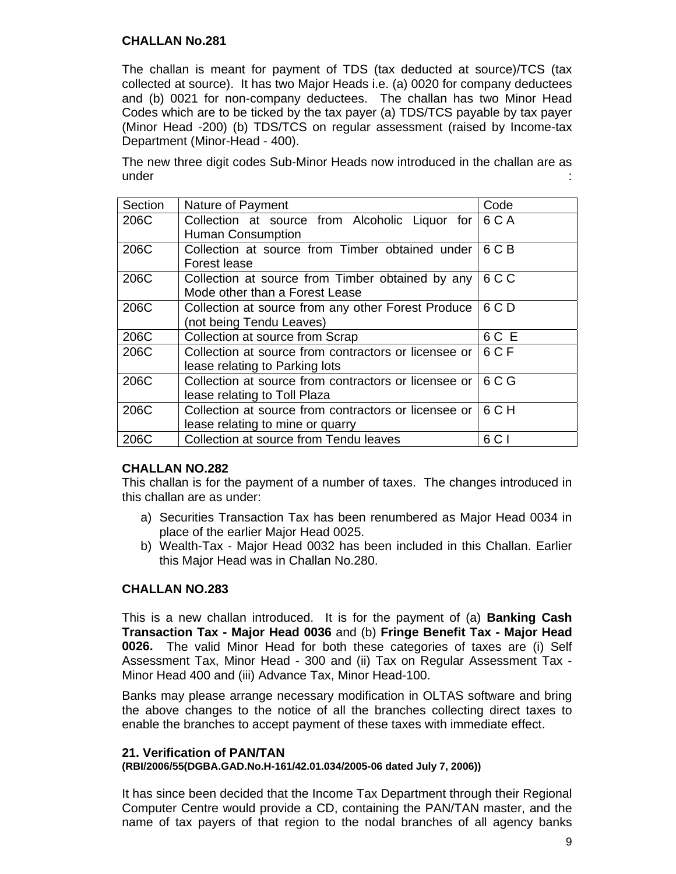### **CHALLAN No.281**

The challan is meant for payment of TDS (tax deducted at source)/TCS (tax collected at source). It has two Major Heads i.e. (a) 0020 for company deductees and (b) 0021 for non-company deductees. The challan has two Minor Head Codes which are to be ticked by the tax payer (a) TDS/TCS payable by tax payer (Minor Head -200) (b) TDS/TCS on regular assessment (raised by Income-tax Department (Minor-Head - 400).

The new three digit codes Sub-Minor Heads now introduced in the challan are as under in the state of the state of the state of the state of the state of the state of the state of the state o

| Section | Nature of Payment                                                     | Code  |  |  |
|---------|-----------------------------------------------------------------------|-------|--|--|
| 206C    | Collection at source from Alcoholic Liquor for   6 C A                |       |  |  |
|         | <b>Human Consumption</b>                                              |       |  |  |
| 206C    | Collection at source from Timber obtained under   6 C B               |       |  |  |
|         | Forest lease                                                          |       |  |  |
| 206C    | Collection at source from Timber obtained by any                      | 6 C C |  |  |
|         | Mode other than a Forest Lease                                        |       |  |  |
| 206C    | 6 C D<br>Collection at source from any other Forest Produce           |       |  |  |
|         | (not being Tendu Leaves)                                              |       |  |  |
| 206C    | Collection at source from Scrap                                       | 6 C E |  |  |
| 206C    | 6 C F<br>Collection at source from contractors or licensee or $\vert$ |       |  |  |
|         | lease relating to Parking lots                                        |       |  |  |
| 206C    | Collection at source from contractors or licensee or                  | 6 C G |  |  |
|         | lease relating to Toll Plaza                                          |       |  |  |
| 206C    | Collection at source from contractors or licensee or                  | 6 C H |  |  |
|         | lease relating to mine or quarry                                      |       |  |  |
| 206C    | Collection at source from Tendu leaves                                | 6 C I |  |  |

## **CHALLAN NO.282**

This challan is for the payment of a number of taxes. The changes introduced in this challan are as under:

- a) Securities Transaction Tax has been renumbered as Major Head 0034 in place of the earlier Major Head 0025.
- b) Wealth-Tax Major Head 0032 has been included in this Challan. Earlier this Major Head was in Challan No.280.

## **CHALLAN NO.283**

This is a new challan introduced. It is for the payment of (a) **Banking Cash Transaction Tax - Major Head 0036** and (b) **Fringe Benefit Tax - Major Head 0026.** The valid Minor Head for both these categories of taxes are (i) Self Assessment Tax, Minor Head - 300 and (ii) Tax on Regular Assessment Tax - Minor Head 400 and (iii) Advance Tax, Minor Head-100.

Banks may please arrange necessary modification in OLTAS software and bring the above changes to the notice of all the branches collecting direct taxes to enable the branches to accept payment of these taxes with immediate effect.

#### **21. Verification of PAN/TAN**

### **(RBI/2006/55(DGBA.GAD.No.H-161/42.01.034/2005-06 dated July 7, 2006))**

It has since been decided that the Income Tax Department through their Regional Computer Centre would provide a CD, containing the PAN/TAN master, and the name of tax payers of that region to the nodal branches of all agency banks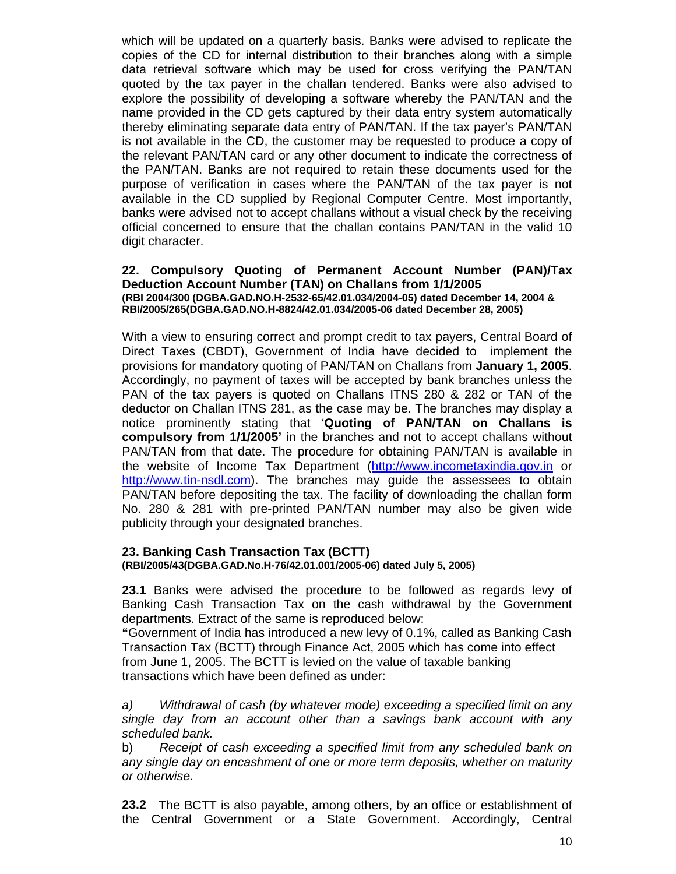which will be updated on a quarterly basis. Banks were advised to replicate the copies of the CD for internal distribution to their branches along with a simple data retrieval software which may be used for cross verifying the PAN/TAN quoted by the tax payer in the challan tendered. Banks were also advised to explore the possibility of developing a software whereby the PAN/TAN and the name provided in the CD gets captured by their data entry system automatically thereby eliminating separate data entry of PAN/TAN. If the tax payer's PAN/TAN is not available in the CD, the customer may be requested to produce a copy of the relevant PAN/TAN card or any other document to indicate the correctness of the PAN/TAN. Banks are not required to retain these documents used for the purpose of verification in cases where the PAN/TAN of the tax payer is not available in the CD supplied by Regional Computer Centre. Most importantly, banks were advised not to accept challans without a visual check by the receiving official concerned to ensure that the challan contains PAN/TAN in the valid 10 digit character.

### **22. Compulsory Quoting of Permanent Account Number (PAN)/Tax Deduction Account Number (TAN) on Challans from 1/1/2005 (RBI 2004/300 (DGBA.GAD.NO.H-2532-65/42.01.034/2004-05) dated December 14, 2004 & RBI/2005/265(DGBA.GAD.NO.H-8824/42.01.034/2005-06 dated December 28, 2005)**

With a view to ensuring correct and prompt credit to tax payers, Central Board of Direct Taxes (CBDT), Government of India have decided to implement the provisions for mandatory quoting of PAN/TAN on Challans from **January 1, 2005**. Accordingly, no payment of taxes will be accepted by bank branches unless the PAN of the tax payers is quoted on Challans ITNS 280 & 282 or TAN of the deductor on Challan ITNS 281, as the case may be. The branches may display a notice prominently stating that '**Quoting of PAN/TAN on Challans is compulsory from 1/1/2005'** in the branches and not to accept challans without PAN/TAN from that date. The procedure for obtaining PAN/TAN is available in the website of Income Tax Department (http://www.incometaxindia.gov.in or http://www.tin-nsdl.com). The branches may guide the assessees to obtain PAN/TAN before depositing the tax. The facility of downloading the challan form No. 280 & 281 with pre-printed PAN/TAN number may also be given wide publicity through your designated branches.

### **23. Banking Cash Transaction Tax (BCTT) (RBI/2005/43(DGBA.GAD.No.H-76/42.01.001/2005-06) dated July 5, 2005)**

**23.1** Banks were advised the procedure to be followed as regards levy of Banking Cash Transaction Tax on the cash withdrawal by the Government departments. Extract of the same is reproduced below:

**"**Government of India has introduced a new levy of 0.1%, called as Banking Cash Transaction Tax (BCTT) through Finance Act, 2005 which has come into effect from June 1, 2005. The BCTT is levied on the value of taxable banking transactions which have been defined as under:

*a) Withdrawal of cash (by whatever mode) exceeding a specified limit on any single day from an account other than a savings bank account with any scheduled bank.* 

b) *Receipt of cash exceeding a specified limit from any scheduled bank on any single day on encashment of one or more term deposits, whether on maturity or otherwise.*

**23.2** The BCTT is also payable, among others, by an office or establishment of the Central Government or a State Government. Accordingly, Central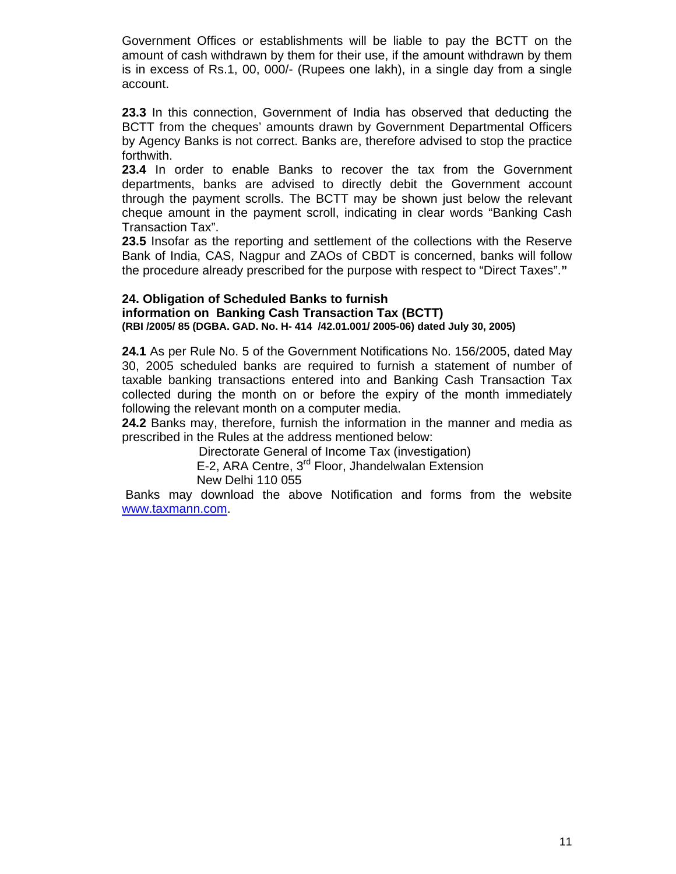Government Offices or establishments will be liable to pay the BCTT on the amount of cash withdrawn by them for their use, if the amount withdrawn by them is in excess of Rs.1, 00, 000/- (Rupees one lakh), in a single day from a single account.

**23.3** In this connection, Government of India has observed that deducting the BCTT from the cheques' amounts drawn by Government Departmental Officers by Agency Banks is not correct. Banks are, therefore advised to stop the practice forthwith.

**23.4** In order to enable Banks to recover the tax from the Government departments, banks are advised to directly debit the Government account through the payment scrolls. The BCTT may be shown just below the relevant cheque amount in the payment scroll, indicating in clear words "Banking Cash Transaction Tax".

**23.5** Insofar as the reporting and settlement of the collections with the Reserve Bank of India, CAS, Nagpur and ZAOs of CBDT is concerned, banks will follow the procedure already prescribed for the purpose with respect to "Direct Taxes".**"**

### **24. Obligation of Scheduled Banks to furnish information on Banking Cash Transaction Tax (BCTT) (RBI /2005/ 85 (DGBA. GAD. No. H- 414 /42.01.001/ 2005-06) dated July 30, 2005)**

**24.1** As per Rule No. 5 of the Government Notifications No. 156/2005, dated May 30, 2005 scheduled banks are required to furnish a statement of number of taxable banking transactions entered into and Banking Cash Transaction Tax collected during the month on or before the expiry of the month immediately following the relevant month on a computer media.

**24.2** Banks may, therefore, furnish the information in the manner and media as prescribed in the Rules at the address mentioned below:

Directorate General of Income Tax (investigation)

E-2, ARA Centre, 3<sup>rd</sup> Floor, Jhandelwalan Extension

New Delhi 110 055

 Banks may download the above Notification and forms from the website www.taxmann.com.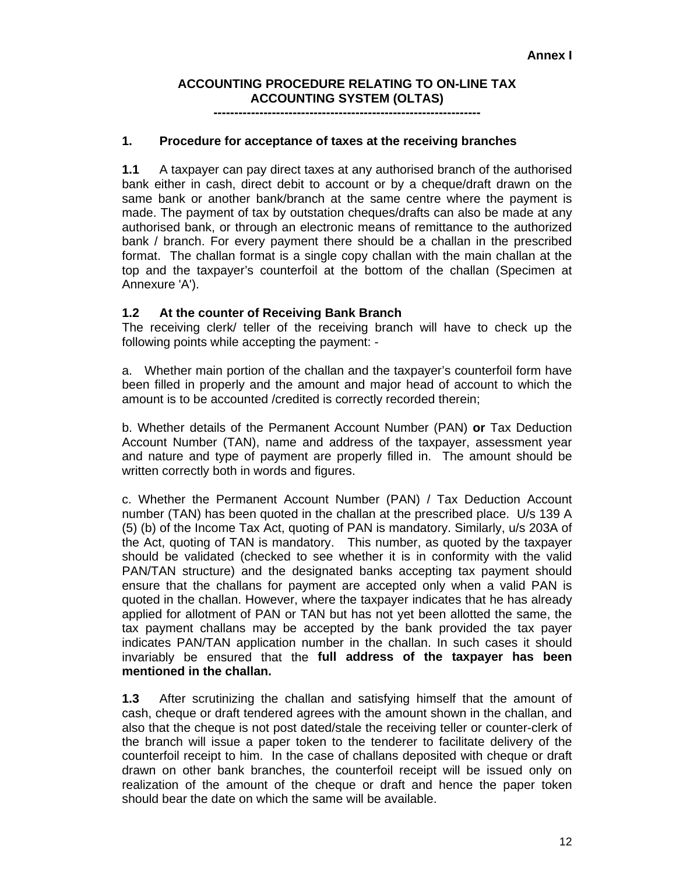## **ACCOUNTING PROCEDURE RELATING TO ON-LINE TAX ACCOUNTING SYSTEM (OLTAS)**

**----------------------------------------------------------------** 

### **1. Procedure for acceptance of taxes at the receiving branches**

**1.1** A taxpayer can pay direct taxes at any authorised branch of the authorised bank either in cash, direct debit to account or by a cheque/draft drawn on the same bank or another bank/branch at the same centre where the payment is made. The payment of tax by outstation cheques/drafts can also be made at any authorised bank, or through an electronic means of remittance to the authorized bank / branch. For every payment there should be a challan in the prescribed format. The challan format is a single copy challan with the main challan at the top and the taxpayer's counterfoil at the bottom of the challan (Specimen at Annexure 'A').

### **1.2 At the counter of Receiving Bank Branch**

The receiving clerk/ teller of the receiving branch will have to check up the following points while accepting the payment: -

a. Whether main portion of the challan and the taxpayer's counterfoil form have been filled in properly and the amount and major head of account to which the amount is to be accounted /credited is correctly recorded therein;

b. Whether details of the Permanent Account Number (PAN) **or** Tax Deduction Account Number (TAN), name and address of the taxpayer, assessment year and nature and type of payment are properly filled in. The amount should be written correctly both in words and figures.

c. Whether the Permanent Account Number (PAN) / Tax Deduction Account number (TAN) has been quoted in the challan at the prescribed place. U/s 139 A (5) (b) of the Income Tax Act, quoting of PAN is mandatory. Similarly, u/s 203A of the Act, quoting of TAN is mandatory. This number, as quoted by the taxpayer should be validated (checked to see whether it is in conformity with the valid PAN/TAN structure) and the designated banks accepting tax payment should ensure that the challans for payment are accepted only when a valid PAN is quoted in the challan. However, where the taxpayer indicates that he has already applied for allotment of PAN or TAN but has not yet been allotted the same, the tax payment challans may be accepted by the bank provided the tax payer indicates PAN/TAN application number in the challan. In such cases it should invariably be ensured that the **full address of the taxpayer has been mentioned in the challan.** 

**1.3** After scrutinizing the challan and satisfying himself that the amount of cash, cheque or draft tendered agrees with the amount shown in the challan, and also that the cheque is not post dated/stale the receiving teller or counter-clerk of the branch will issue a paper token to the tenderer to facilitate delivery of the counterfoil receipt to him. In the case of challans deposited with cheque or draft drawn on other bank branches, the counterfoil receipt will be issued only on realization of the amount of the cheque or draft and hence the paper token should bear the date on which the same will be available.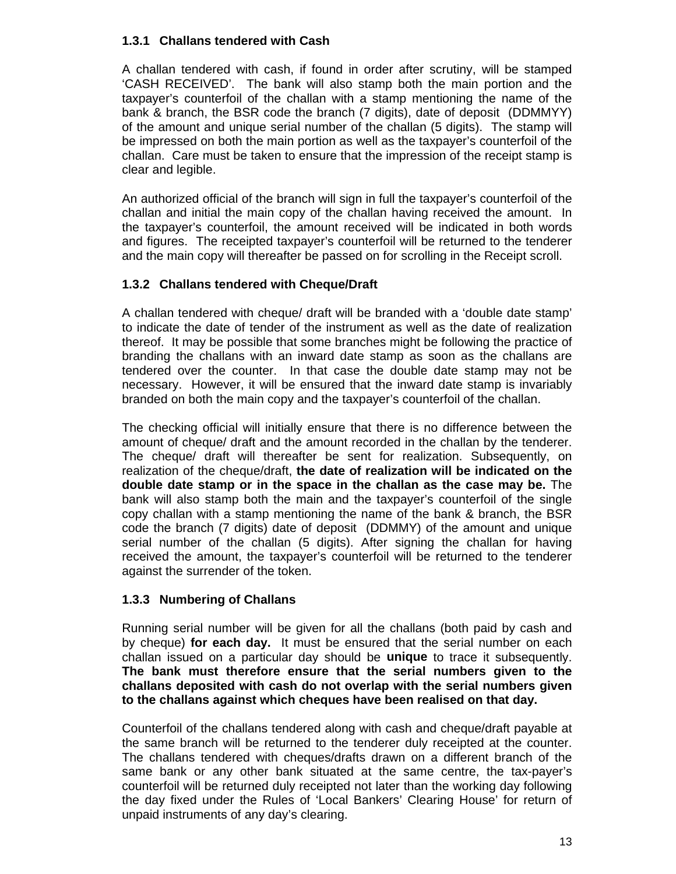## **1.3.1 Challans tendered with Cash**

A challan tendered with cash, if found in order after scrutiny, will be stamped 'CASH RECEIVED'. The bank will also stamp both the main portion and the taxpayer's counterfoil of the challan with a stamp mentioning the name of the bank & branch, the BSR code the branch (7 digits), date of deposit (DDMMYY) of the amount and unique serial number of the challan (5 digits). The stamp will be impressed on both the main portion as well as the taxpayer's counterfoil of the challan. Care must be taken to ensure that the impression of the receipt stamp is clear and legible.

An authorized official of the branch will sign in full the taxpayer's counterfoil of the challan and initial the main copy of the challan having received the amount. In the taxpayer's counterfoil, the amount received will be indicated in both words and figures. The receipted taxpayer's counterfoil will be returned to the tenderer and the main copy will thereafter be passed on for scrolling in the Receipt scroll.

## **1.3.2 Challans tendered with Cheque/Draft**

A challan tendered with cheque/ draft will be branded with a 'double date stamp' to indicate the date of tender of the instrument as well as the date of realization thereof. It may be possible that some branches might be following the practice of branding the challans with an inward date stamp as soon as the challans are tendered over the counter. In that case the double date stamp may not be necessary. However, it will be ensured that the inward date stamp is invariably branded on both the main copy and the taxpayer's counterfoil of the challan.

The checking official will initially ensure that there is no difference between the amount of cheque/ draft and the amount recorded in the challan by the tenderer. The cheque/ draft will thereafter be sent for realization. Subsequently, on realization of the cheque/draft, **the date of realization will be indicated on the double date stamp or in the space in the challan as the case may be.** The bank will also stamp both the main and the taxpayer's counterfoil of the single copy challan with a stamp mentioning the name of the bank & branch, the BSR code the branch (7 digits) date of deposit (DDMMY) of the amount and unique serial number of the challan (5 digits). After signing the challan for having received the amount, the taxpayer's counterfoil will be returned to the tenderer against the surrender of the token.

## **1.3.3 Numbering of Challans**

Running serial number will be given for all the challans (both paid by cash and by cheque) **for each day.** It must be ensured that the serial number on each challan issued on a particular day should be **unique** to trace it subsequently. **The bank must therefore ensure that the serial numbers given to the challans deposited with cash do not overlap with the serial numbers given to the challans against which cheques have been realised on that day.**

Counterfoil of the challans tendered along with cash and cheque/draft payable at the same branch will be returned to the tenderer duly receipted at the counter. The challans tendered with cheques/drafts drawn on a different branch of the same bank or any other bank situated at the same centre, the tax-payer's counterfoil will be returned duly receipted not later than the working day following the day fixed under the Rules of 'Local Bankers' Clearing House' for return of unpaid instruments of any day's clearing.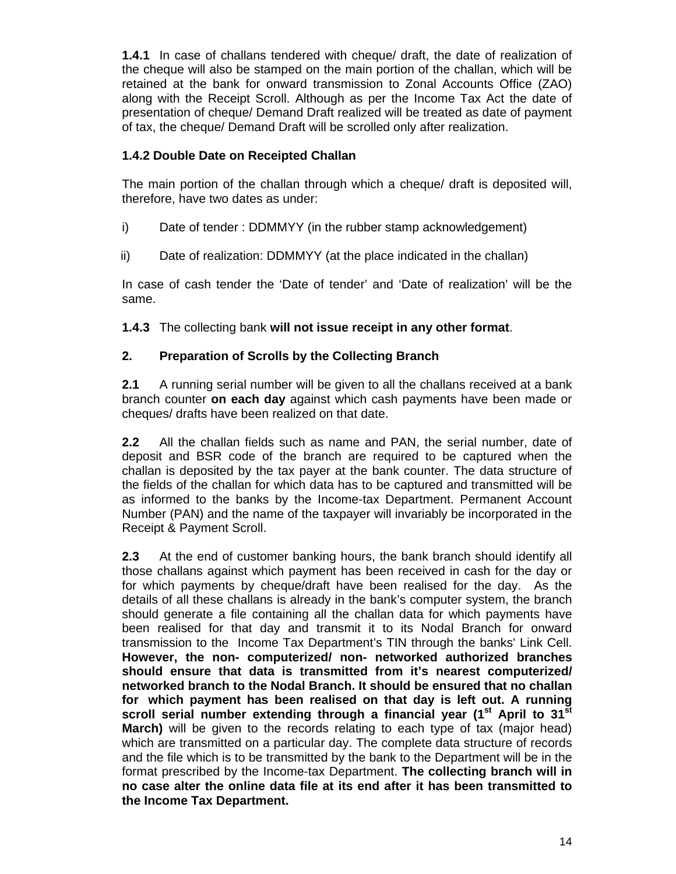**1.4.1** In case of challans tendered with cheque/ draft, the date of realization of the cheque will also be stamped on the main portion of the challan, which will be retained at the bank for onward transmission to Zonal Accounts Office (ZAO) along with the Receipt Scroll. Although as per the Income Tax Act the date of presentation of cheque/ Demand Draft realized will be treated as date of payment of tax, the cheque/ Demand Draft will be scrolled only after realization.

## **1.4.2 Double Date on Receipted Challan**

The main portion of the challan through which a cheque/ draft is deposited will, therefore, have two dates as under:

- i) Date of tender : DDMMYY (in the rubber stamp acknowledgement)
- ii) Date of realization: DDMMYY (at the place indicated in the challan)

In case of cash tender the 'Date of tender' and 'Date of realization' will be the same.

**1.4.3** The collecting bank **will not issue receipt in any other format**.

## **2. Preparation of Scrolls by the Collecting Branch**

**2.1** A running serial number will be given to all the challans received at a bank branch counter **on each day** against which cash payments have been made or cheques/ drafts have been realized on that date.

**2.2** All the challan fields such as name and PAN, the serial number, date of deposit and BSR code of the branch are required to be captured when the challan is deposited by the tax payer at the bank counter. The data structure of the fields of the challan for which data has to be captured and transmitted will be as informed to the banks by the Income-tax Department. Permanent Account Number (PAN) and the name of the taxpayer will invariably be incorporated in the Receipt & Payment Scroll.

**2.3** At the end of customer banking hours, the bank branch should identify all those challans against which payment has been received in cash for the day or for which payments by cheque/draft have been realised for the day. As the details of all these challans is already in the bank's computer system, the branch should generate a file containing all the challan data for which payments have been realised for that day and transmit it to its Nodal Branch for onward transmission to the Income Tax Department's TIN through the banks' Link Cell. **However, the non- computerized/ non- networked authorized branches should ensure that data is transmitted from it's nearest computerized/ networked branch to the Nodal Branch. It should be ensured that no challan for which payment has been realised on that day is left out. A running**  scroll serial number extending through a financial year (1<sup>st</sup> April to 31<sup>st</sup> **March)** will be given to the records relating to each type of tax (major head) which are transmitted on a particular day. The complete data structure of records and the file which is to be transmitted by the bank to the Department will be in the format prescribed by the Income-tax Department. **The collecting branch will in no case alter the online data file at its end after it has been transmitted to the Income Tax Department.**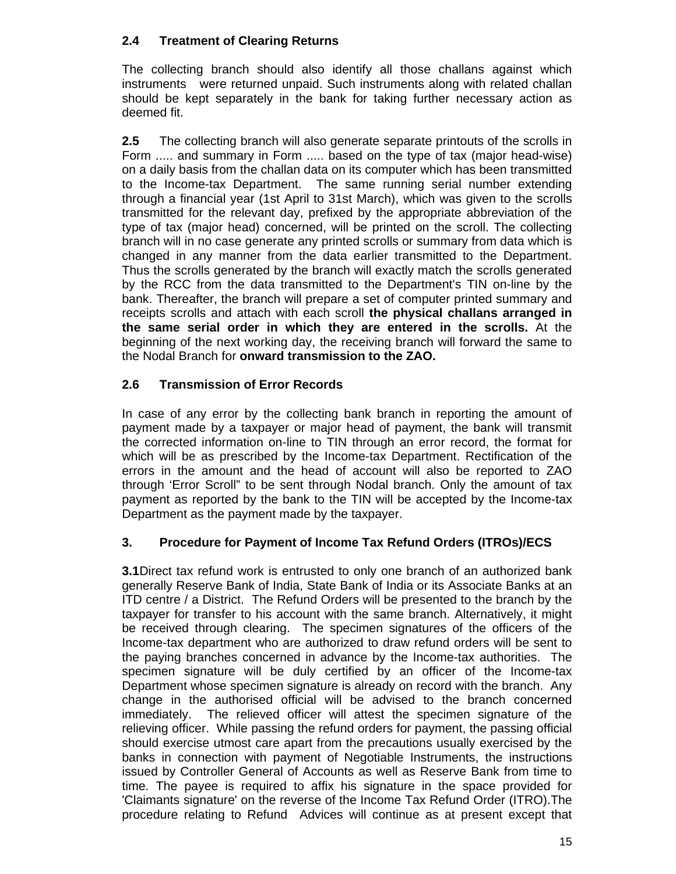## **2.4 Treatment of Clearing Returns**

The collecting branch should also identify all those challans against which instruments were returned unpaid. Such instruments along with related challan should be kept separately in the bank for taking further necessary action as deemed fit.

**2.5** The collecting branch will also generate separate printouts of the scrolls in Form ..... and summary in Form ..... based on the type of tax (major head-wise) on a daily basis from the challan data on its computer which has been transmitted to the Income-tax Department. The same running serial number extending through a financial year (1st April to 31st March), which was given to the scrolls transmitted for the relevant day, prefixed by the appropriate abbreviation of the type of tax (major head) concerned, will be printed on the scroll. The collecting branch will in no case generate any printed scrolls or summary from data which is changed in any manner from the data earlier transmitted to the Department. Thus the scrolls generated by the branch will exactly match the scrolls generated by the RCC from the data transmitted to the Department's TIN on-line by the bank. Thereafter, the branch will prepare a set of computer printed summary and receipts scrolls and attach with each scroll **the physical challans arranged in the same serial order in which they are entered in the scrolls.** At the beginning of the next working day, the receiving branch will forward the same to the Nodal Branch for **onward transmission to the ZAO.**

## **2.6 Transmission of Error Records**

In case of any error by the collecting bank branch in reporting the amount of payment made by a taxpayer or major head of payment, the bank will transmit the corrected information on-line to TIN through an error record, the format for which will be as prescribed by the Income-tax Department. Rectification of the errors in the amount and the head of account will also be reported to ZAO through 'Error Scroll" to be sent through Nodal branch. Only the amount of tax payment as reported by the bank to the TIN will be accepted by the Income-tax Department as the payment made by the taxpayer.

## **3. Procedure for Payment of Income Tax Refund Orders (ITROs)/ECS**

**3.1**Direct tax refund work is entrusted to only one branch of an authorized bank generally Reserve Bank of India, State Bank of India or its Associate Banks at an ITD centre / a District. The Refund Orders will be presented to the branch by the taxpayer for transfer to his account with the same branch. Alternatively, it might be received through clearing. The specimen signatures of the officers of the Income-tax department who are authorized to draw refund orders will be sent to the paying branches concerned in advance by the Income-tax authorities. The specimen signature will be duly certified by an officer of the Income-tax Department whose specimen signature is already on record with the branch. Any change in the authorised official will be advised to the branch concerned immediately. The relieved officer will attest the specimen signature of the relieving officer. While passing the refund orders for payment, the passing official should exercise utmost care apart from the precautions usually exercised by the banks in connection with payment of Negotiable Instruments, the instructions issued by Controller General of Accounts as well as Reserve Bank from time to time. The payee is required to affix his signature in the space provided for 'Claimants signature' on the reverse of the Income Tax Refund Order (ITRO).The procedure relating to Refund Advices will continue as at present except that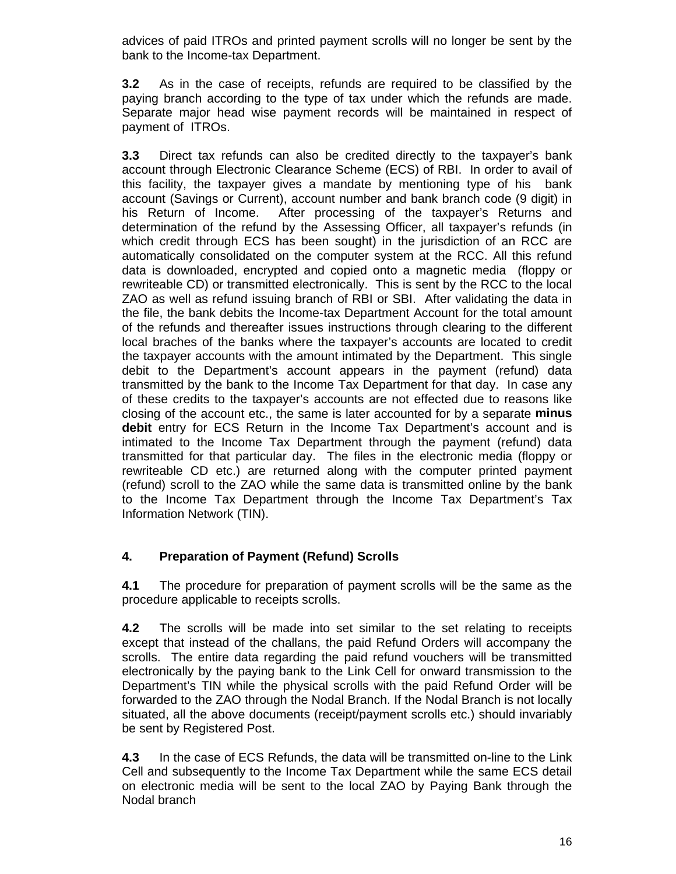advices of paid ITROs and printed payment scrolls will no longer be sent by the bank to the Income-tax Department.

**3.2** As in the case of receipts, refunds are required to be classified by the paying branch according to the type of tax under which the refunds are made. Separate major head wise payment records will be maintained in respect of payment of ITROs.

**3.3** Direct tax refunds can also be credited directly to the taxpayer's bank account through Electronic Clearance Scheme (ECS) of RBI. In order to avail of this facility, the taxpayer gives a mandate by mentioning type of his bank account (Savings or Current), account number and bank branch code (9 digit) in his Return of Income. After processing of the taxpayer's Returns and determination of the refund by the Assessing Officer, all taxpayer's refunds (in which credit through ECS has been sought) in the jurisdiction of an RCC are automatically consolidated on the computer system at the RCC. All this refund data is downloaded, encrypted and copied onto a magnetic media (floppy or rewriteable CD) or transmitted electronically. This is sent by the RCC to the local ZAO as well as refund issuing branch of RBI or SBI. After validating the data in the file, the bank debits the Income-tax Department Account for the total amount of the refunds and thereafter issues instructions through clearing to the different local braches of the banks where the taxpayer's accounts are located to credit the taxpayer accounts with the amount intimated by the Department. This single debit to the Department's account appears in the payment (refund) data transmitted by the bank to the Income Tax Department for that day. In case any of these credits to the taxpayer's accounts are not effected due to reasons like closing of the account etc., the same is later accounted for by a separate **minus debit** entry for ECS Return in the Income Tax Department's account and is intimated to the Income Tax Department through the payment (refund) data transmitted for that particular day. The files in the electronic media (floppy or rewriteable CD etc.) are returned along with the computer printed payment (refund) scroll to the ZAO while the same data is transmitted online by the bank to the Income Tax Department through the Income Tax Department's Tax Information Network (TIN).

## **4. Preparation of Payment (Refund) Scrolls**

**4.1** The procedure for preparation of payment scrolls will be the same as the procedure applicable to receipts scrolls.

**4.2** The scrolls will be made into set similar to the set relating to receipts except that instead of the challans, the paid Refund Orders will accompany the scrolls. The entire data regarding the paid refund vouchers will be transmitted electronically by the paying bank to the Link Cell for onward transmission to the Department's TIN while the physical scrolls with the paid Refund Order will be forwarded to the ZAO through the Nodal Branch. If the Nodal Branch is not locally situated, all the above documents (receipt/payment scrolls etc.) should invariably be sent by Registered Post.

**4.3** In the case of ECS Refunds, the data will be transmitted on-line to the Link Cell and subsequently to the Income Tax Department while the same ECS detail on electronic media will be sent to the local ZAO by Paying Bank through the Nodal branch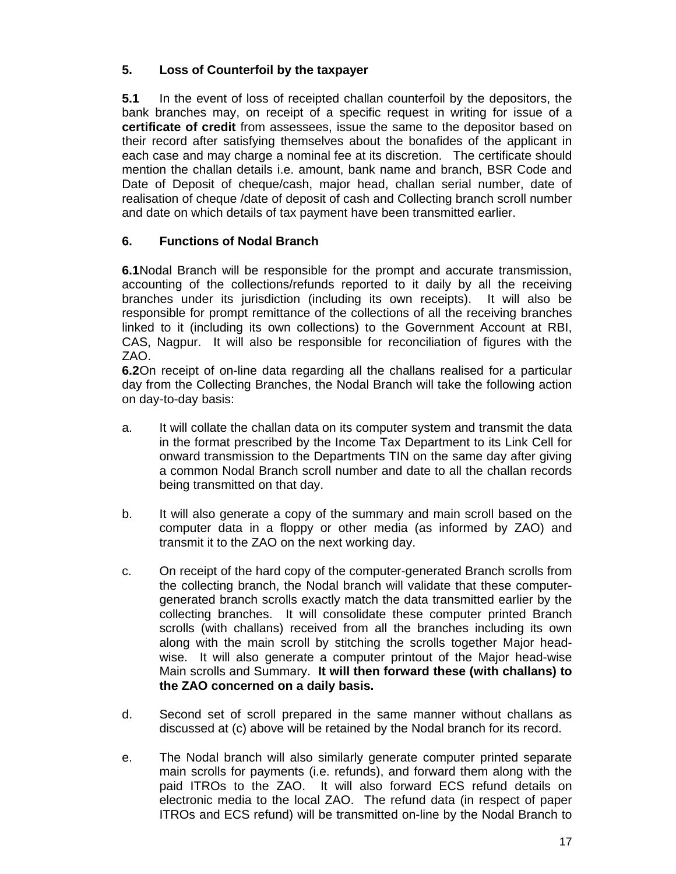## **5. Loss of Counterfoil by the taxpayer**

**5.1** In the event of loss of receipted challan counterfoil by the depositors, the bank branches may, on receipt of a specific request in writing for issue of a **certificate of credit** from assessees, issue the same to the depositor based on their record after satisfying themselves about the bonafides of the applicant in each case and may charge a nominal fee at its discretion. The certificate should mention the challan details i.e. amount, bank name and branch, BSR Code and Date of Deposit of cheque/cash, major head, challan serial number, date of realisation of cheque /date of deposit of cash and Collecting branch scroll number and date on which details of tax payment have been transmitted earlier.

## **6. Functions of Nodal Branch**

**6.1**Nodal Branch will be responsible for the prompt and accurate transmission, accounting of the collections/refunds reported to it daily by all the receiving branches under its jurisdiction (including its own receipts). It will also be responsible for prompt remittance of the collections of all the receiving branches linked to it (including its own collections) to the Government Account at RBI, CAS, Nagpur. It will also be responsible for reconciliation of figures with the ZAO.

**6.2**On receipt of on-line data regarding all the challans realised for a particular day from the Collecting Branches, the Nodal Branch will take the following action on day-to-day basis:

- a. It will collate the challan data on its computer system and transmit the data in the format prescribed by the Income Tax Department to its Link Cell for onward transmission to the Departments TIN on the same day after giving a common Nodal Branch scroll number and date to all the challan records being transmitted on that day.
- b. It will also generate a copy of the summary and main scroll based on the computer data in a floppy or other media (as informed by ZAO) and transmit it to the ZAO on the next working day.
- c. On receipt of the hard copy of the computer-generated Branch scrolls from the collecting branch, the Nodal branch will validate that these computergenerated branch scrolls exactly match the data transmitted earlier by the collecting branches. It will consolidate these computer printed Branch scrolls (with challans) received from all the branches including its own along with the main scroll by stitching the scrolls together Major headwise. It will also generate a computer printout of the Major head-wise Main scrolls and Summary. **It will then forward these (with challans) to the ZAO concerned on a daily basis.**
- d. Second set of scroll prepared in the same manner without challans as discussed at (c) above will be retained by the Nodal branch for its record.
- e. The Nodal branch will also similarly generate computer printed separate main scrolls for payments (i.e. refunds), and forward them along with the paid ITROs to the ZAO. It will also forward ECS refund details on electronic media to the local ZAO. The refund data (in respect of paper ITROs and ECS refund) will be transmitted on-line by the Nodal Branch to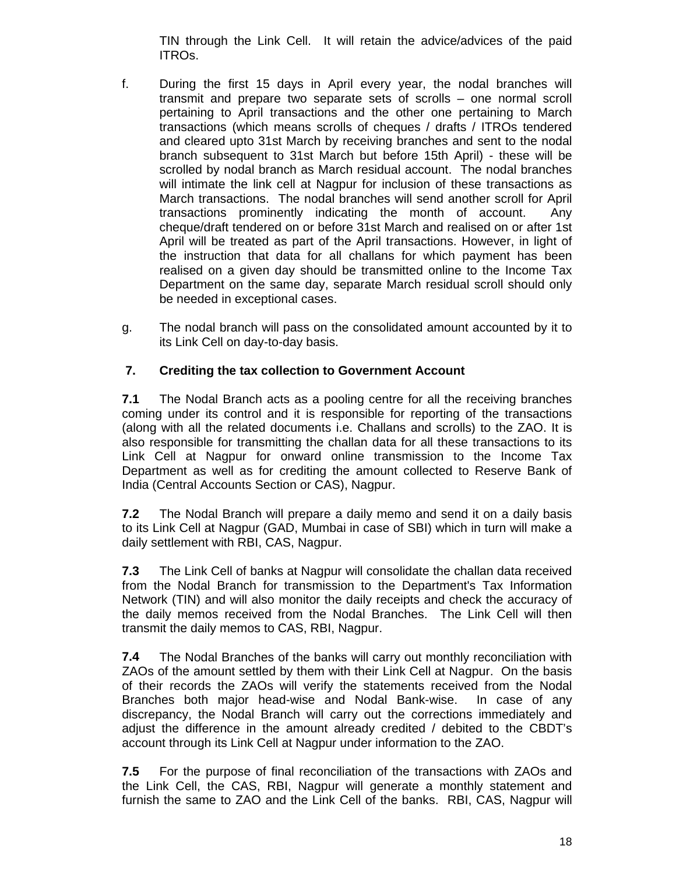TIN through the Link Cell. It will retain the advice/advices of the paid ITROs.

- f. During the first 15 days in April every year, the nodal branches will transmit and prepare two separate sets of scrolls – one normal scroll pertaining to April transactions and the other one pertaining to March transactions (which means scrolls of cheques / drafts / ITROs tendered and cleared upto 31st March by receiving branches and sent to the nodal branch subsequent to 31st March but before 15th April) - these will be scrolled by nodal branch as March residual account. The nodal branches will intimate the link cell at Nagpur for inclusion of these transactions as March transactions. The nodal branches will send another scroll for April transactions prominently indicating the month of account. Any cheque/draft tendered on or before 31st March and realised on or after 1st April will be treated as part of the April transactions. However, in light of the instruction that data for all challans for which payment has been realised on a given day should be transmitted online to the Income Tax Department on the same day, separate March residual scroll should only be needed in exceptional cases.
- g. The nodal branch will pass on the consolidated amount accounted by it to its Link Cell on day-to-day basis.

## **7. Crediting the tax collection to Government Account**

**7.1** The Nodal Branch acts as a pooling centre for all the receiving branches coming under its control and it is responsible for reporting of the transactions (along with all the related documents i.e. Challans and scrolls) to the ZAO. It is also responsible for transmitting the challan data for all these transactions to its Link Cell at Nagpur for onward online transmission to the Income Tax Department as well as for crediting the amount collected to Reserve Bank of India (Central Accounts Section or CAS), Nagpur.

**7.2** The Nodal Branch will prepare a daily memo and send it on a daily basis to its Link Cell at Nagpur (GAD, Mumbai in case of SBI) which in turn will make a daily settlement with RBI, CAS, Nagpur.

**7.3** The Link Cell of banks at Nagpur will consolidate the challan data received from the Nodal Branch for transmission to the Department's Tax Information Network (TIN) and will also monitor the daily receipts and check the accuracy of the daily memos received from the Nodal Branches. The Link Cell will then transmit the daily memos to CAS, RBI, Nagpur.

**7.4** The Nodal Branches of the banks will carry out monthly reconciliation with ZAOs of the amount settled by them with their Link Cell at Nagpur. On the basis of their records the ZAOs will verify the statements received from the Nodal Branches both major head-wise and Nodal Bank-wise. In case of any discrepancy, the Nodal Branch will carry out the corrections immediately and adjust the difference in the amount already credited / debited to the CBDT's account through its Link Cell at Nagpur under information to the ZAO.

**7.5** For the purpose of final reconciliation of the transactions with ZAOs and the Link Cell, the CAS, RBI, Nagpur will generate a monthly statement and furnish the same to ZAO and the Link Cell of the banks. RBI, CAS, Nagpur will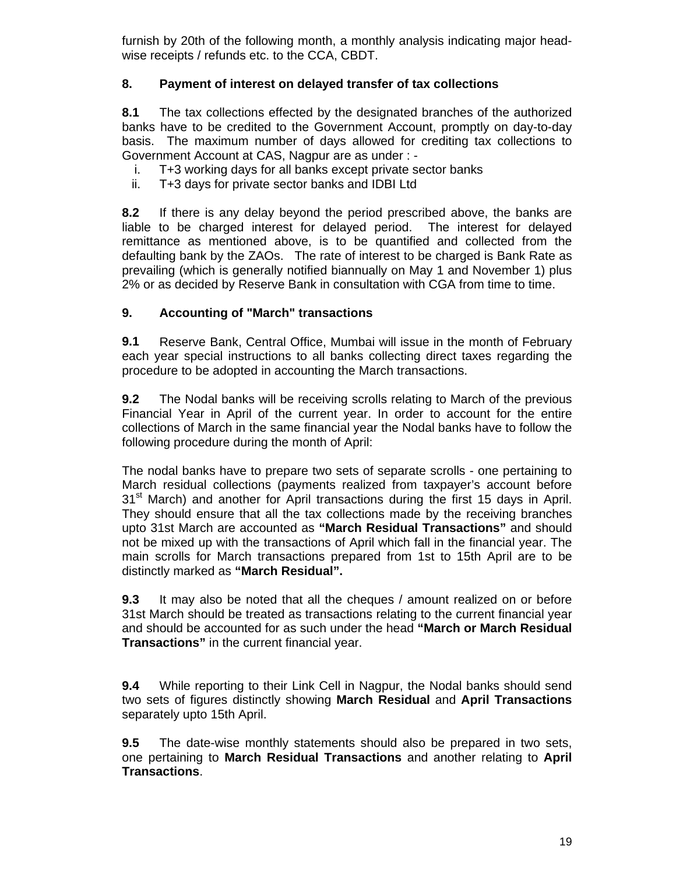furnish by 20th of the following month, a monthly analysis indicating major headwise receipts / refunds etc. to the CCA, CBDT.

## **8. Payment of interest on delayed transfer of tax collections**

**8.1** The tax collections effected by the designated branches of the authorized banks have to be credited to the Government Account, promptly on day-to-day basis. The maximum number of days allowed for crediting tax collections to Government Account at CAS, Nagpur are as under : -

- i. T+3 working days for all banks except private sector banks
- ii. T+3 days for private sector banks and IDBI Ltd

**8.2** If there is any delay beyond the period prescribed above, the banks are liable to be charged interest for delayed period. The interest for delayed remittance as mentioned above, is to be quantified and collected from the defaulting bank by the ZAOs. The rate of interest to be charged is Bank Rate as prevailing (which is generally notified biannually on May 1 and November 1) plus 2% or as decided by Reserve Bank in consultation with CGA from time to time.

## **9. Accounting of "March" transactions**

**9.1** Reserve Bank, Central Office, Mumbai will issue in the month of February each year special instructions to all banks collecting direct taxes regarding the procedure to be adopted in accounting the March transactions.

**9.2** The Nodal banks will be receiving scrolls relating to March of the previous Financial Year in April of the current year. In order to account for the entire collections of March in the same financial year the Nodal banks have to follow the following procedure during the month of April:

The nodal banks have to prepare two sets of separate scrolls - one pertaining to March residual collections (payments realized from taxpayer's account before  $31<sup>st</sup>$  March) and another for April transactions during the first 15 days in April. They should ensure that all the tax collections made by the receiving branches upto 31st March are accounted as **"March Residual Transactions"** and should not be mixed up with the transactions of April which fall in the financial year. The main scrolls for March transactions prepared from 1st to 15th April are to be distinctly marked as **"March Residual".** 

**9.3** It may also be noted that all the cheques / amount realized on or before 31st March should be treated as transactions relating to the current financial year and should be accounted for as such under the head **"March or March Residual Transactions"** in the current financial year.

**9.4** While reporting to their Link Cell in Nagpur, the Nodal banks should send two sets of figures distinctly showing **March Residual** and **April Transactions** separately upto 15th April.

**9.5** The date-wise monthly statements should also be prepared in two sets, one pertaining to **March Residual Transactions** and another relating to **April Transactions**.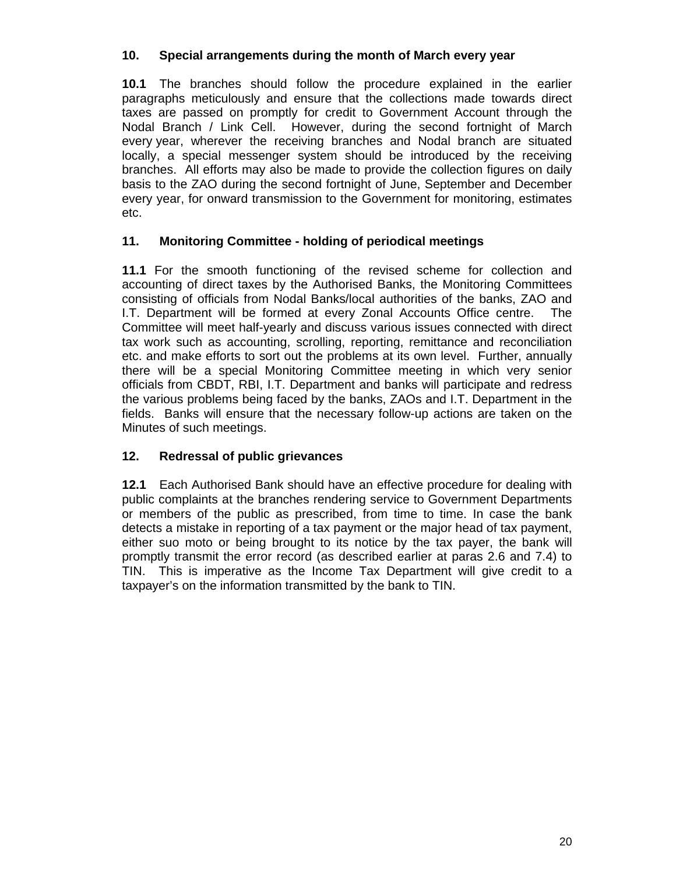## **10. Special arrangements during the month of March every year**

**10.1** The branches should follow the procedure explained in the earlier paragraphs meticulously and ensure that the collections made towards direct taxes are passed on promptly for credit to Government Account through the Nodal Branch / Link Cell. However, during the second fortnight of March every year, wherever the receiving branches and Nodal branch are situated locally, a special messenger system should be introduced by the receiving branches. All efforts may also be made to provide the collection figures on daily basis to the ZAO during the second fortnight of June, September and December every year, for onward transmission to the Government for monitoring, estimates etc.

## **11. Monitoring Committee - holding of periodical meetings**

**11.1** For the smooth functioning of the revised scheme for collection and accounting of direct taxes by the Authorised Banks, the Monitoring Committees consisting of officials from Nodal Banks/local authorities of the banks, ZAO and I.T. Department will be formed at every Zonal Accounts Office centre. The Committee will meet half-yearly and discuss various issues connected with direct tax work such as accounting, scrolling, reporting, remittance and reconciliation etc. and make efforts to sort out the problems at its own level. Further, annually there will be a special Monitoring Committee meeting in which very senior officials from CBDT, RBI, I.T. Department and banks will participate and redress the various problems being faced by the banks, ZAOs and I.T. Department in the fields. Banks will ensure that the necessary follow-up actions are taken on the Minutes of such meetings.

## **12. Redressal of public grievances**

**12.1** Each Authorised Bank should have an effective procedure for dealing with public complaints at the branches rendering service to Government Departments or members of the public as prescribed, from time to time. In case the bank detects a mistake in reporting of a tax payment or the major head of tax payment, either suo moto or being brought to its notice by the tax payer, the bank will promptly transmit the error record (as described earlier at paras 2.6 and 7.4) to TIN. This is imperative as the Income Tax Department will give credit to a taxpayer's on the information transmitted by the bank to TIN.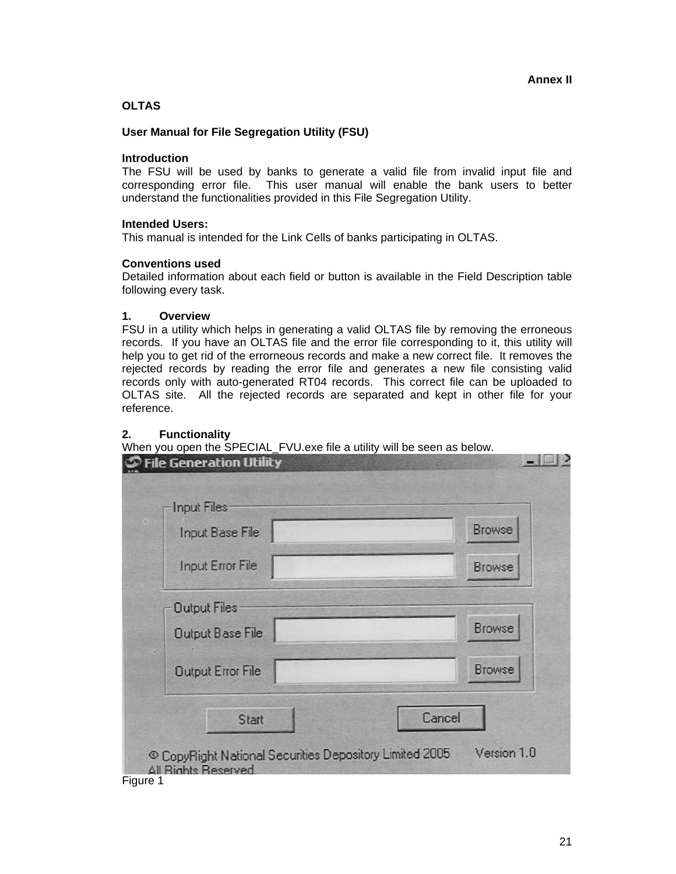### **OLTAS**

#### **User Manual for File Segregation Utility (FSU)**

#### **Introduction**

The FSU will be used by banks to generate a valid file from invalid input file and corresponding error file. This user manual will enable the bank users to better understand the functionalities provided in this File Segregation Utility.

#### **Intended Users:**

This manual is intended for the Link Cells of banks participating in OLTAS.

#### **Conventions used**

Detailed information about each field or button is available in the Field Description table following every task.

#### **1. Overview**

FSU in a utility which helps in generating a valid OLTAS file by removing the erroneous records. If you have an OLTAS file and the error file corresponding to it, this utility will help you to get rid of the errorneous records and make a new correct file. It removes the rejected records by reading the error file and generates a new file consisting valid records only with auto-generated RT04 records. This correct file can be uploaded to OLTAS site. All the rejected records are separated and kept in other file for your reference.

### **2. Functionality**

When you open the SPECIAL\_FVU.exe file a utility will be seen as below.

| Input Files<br>Input Base File | <b>Browse</b> |
|--------------------------------|---------------|
| <b>Input Error File</b>        | <b>Browse</b> |
| <b>Output Files</b>            |               |
| Output Base File               | <b>Browse</b> |
| <b>Output Error File</b>       | <b>Browse</b> |
| Start                          | Cancel        |

Figure 1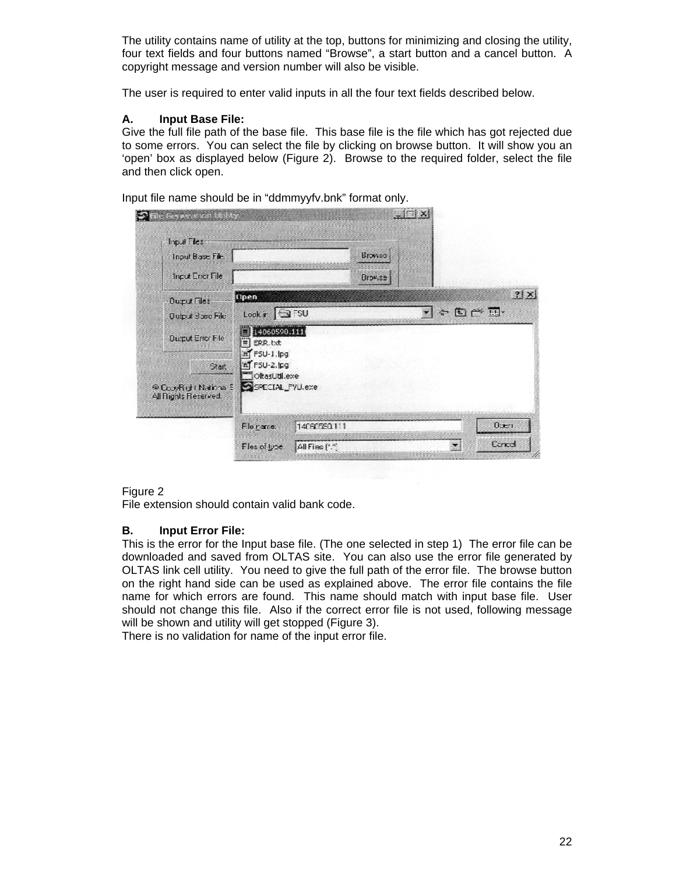The utility contains name of utility at the top, buttons for minimizing and closing the utility, four text fields and four buttons named "Browse", a start button and a cancel button. A copyright message and version number will also be visible.

The user is required to enter valid inputs in all the four text fields described below.

### **A. Input Base File:**

Give the full file path of the base file. This base file is the file which has got rejected due to some errors. You can select the file by clicking on browse button. It will show you an 'open' box as displayed below (Figure 2). Browse to the required folder, select the file and then click open.

Input file name should be in "ddmmyyfv.bnk" format only.

| Input Files:                                   |                                   |              |        |                 |                 |
|------------------------------------------------|-----------------------------------|--------------|--------|-----------------|-----------------|
| Input Base File                                |                                   |              | Browse |                 |                 |
| Input Error File                               |                                   |              | Browse |                 |                 |
| Ourut Files                                    | <b>Cipen</b>                      |              |        |                 | ? X             |
| <b>Output Base File</b>                        | $Look r \bigotimes$ FSU           |              |        | $C \subseteq C$ |                 |
| <b>Quiput Error File</b>                       | 14060590.111<br>罰<br>ERR.bt       |              |        |                 |                 |
| Start:                                         | ET FSU-1.lpg<br>in FSU-2.IPg      |              |        |                 |                 |
| @CooyRight National 5<br>All Flights Reserved. | "OltasUtil.exe<br>SPECIAL FYU.exe |              |        |                 |                 |
|                                                | Fle name:                         | 14060550.111 |        |                 | 0x <sub>1</sub> |
|                                                |                                   |              |        |                 |                 |

#### Figure 2

File extension should contain valid bank code.

#### **B. Input Error File:**

This is the error for the Input base file. (The one selected in step 1) The error file can be downloaded and saved from OLTAS site. You can also use the error file generated by OLTAS link cell utility. You need to give the full path of the error file. The browse button on the right hand side can be used as explained above. The error file contains the file name for which errors are found. This name should match with input base file. User should not change this file. Also if the correct error file is not used, following message will be shown and utility will get stopped (Figure 3).

There is no validation for name of the input error file.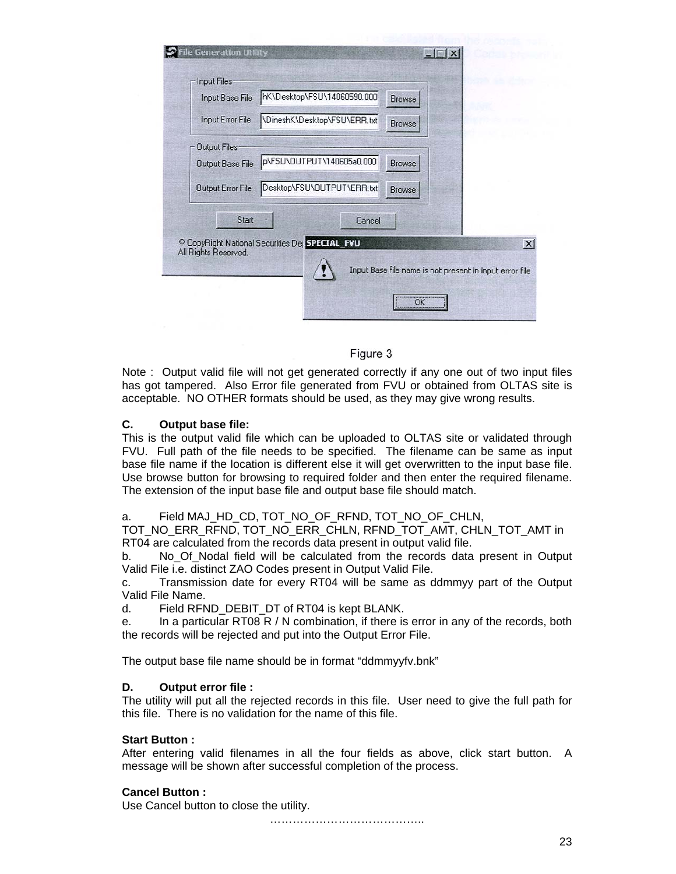| Input Base File      | hK\Desktop\FSU\14060590.000                               | Browse                                                  |
|----------------------|-----------------------------------------------------------|---------------------------------------------------------|
| Input Error File     | \DineshK\Desktop\FSU\ERR.txt                              | <b>Browse</b>                                           |
| <b>Output Files</b>  |                                                           |                                                         |
| Output Base File     | p\FSU\OUTPUT\140605a0.000                                 | <b>Browse</b>                                           |
| Output Error File    | Desktop\FSU\OUTPUT\ERR.txt                                | Browse                                                  |
| Start                | Cancel                                                    |                                                         |
| All Rights Reserved. | <sup>©</sup> CopyRight National Securities De SPECIAL FVU |                                                         |
|                      |                                                           | Input Base file name is not present in input error file |

### Figure 3

Note : Output valid file will not get generated correctly if any one out of two input files has got tampered. Also Error file generated from FVU or obtained from OLTAS site is acceptable. NO OTHER formats should be used, as they may give wrong results.

### **C. Output base file:**

This is the output valid file which can be uploaded to OLTAS site or validated through FVU. Full path of the file needs to be specified. The filename can be same as input base file name if the location is different else it will get overwritten to the input base file. Use browse button for browsing to required folder and then enter the required filename. The extension of the input base file and output base file should match.

#### a. Field MAJ\_HD\_CD, TOT\_NO\_OF\_RFND, TOT\_NO\_OF\_CHLN,

TOT\_NO\_ERR\_RFND, TOT\_NO\_ERR\_CHLN, RFND\_TOT\_AMT, CHLN\_TOT\_AMT in RT04 are calculated from the records data present in output valid file.

b. No\_Of\_Nodal field will be calculated from the records data present in Output Valid File i.e. distinct ZAO Codes present in Output Valid File.

c. Transmission date for every RT04 will be same as ddmmyy part of the Output Valid File Name.

d. Field RFND DEBIT DT of RT04 is kept BLANK.

e. In a particular RT08 R / N combination, if there is error in any of the records, both the records will be rejected and put into the Output Error File.

The output base file name should be in format "ddmmyyfv.bnk"

#### **D. Output error file :**

The utility will put all the rejected records in this file. User need to give the full path for this file. There is no validation for the name of this file.

### **Start Button :**

After entering valid filenames in all the four fields as above, click start button. A message will be shown after successful completion of the process.

#### **Cancel Button :**

Use Cancel button to close the utility.

…………………………………..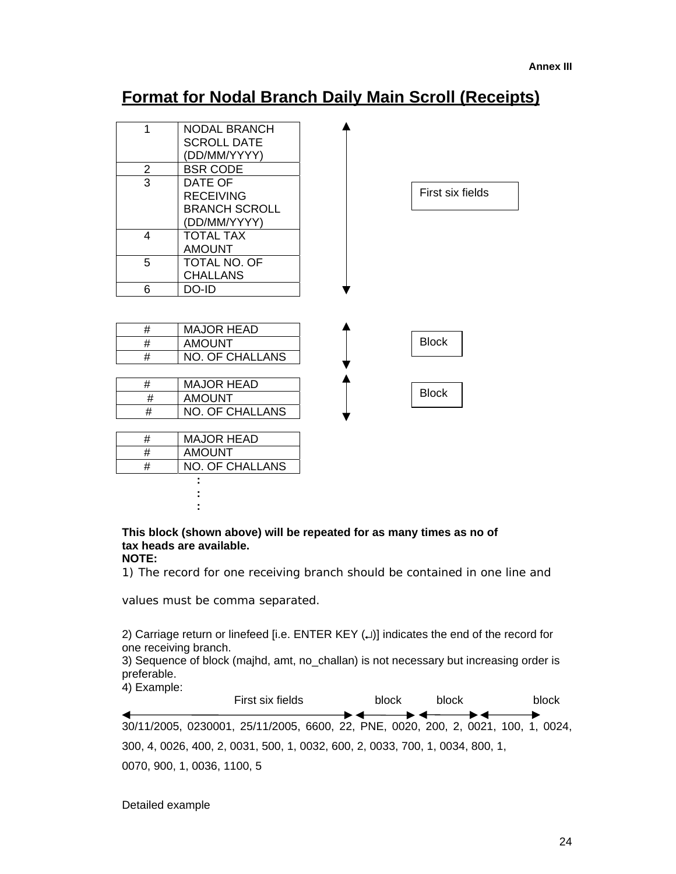# **Format for Nodal Branch Daily Main Scroll (Receipts)**

| 1              | <b>NODAL BRANCH</b>    |                  |
|----------------|------------------------|------------------|
|                | <b>SCROLL DATE</b>     |                  |
|                | (DD/MM/YYYY)           |                  |
| $\overline{2}$ | <b>BSR CODE</b>        |                  |
| $\overline{3}$ | DATE OF                |                  |
|                | <b>RECEIVING</b>       | First six fields |
|                | <b>BRANCH SCROLL</b>   |                  |
|                | (DD/MM/YYYY)           |                  |
| 4              | <b>TOTAL TAX</b>       |                  |
|                | <b>AMOUNT</b>          |                  |
| 5              | TOTAL NO. OF           |                  |
|                | <b>CHALLANS</b>        |                  |
| 6              | DO-ID                  |                  |
|                |                        |                  |
| #              | <b>MAJOR HEAD</b>      | <b>Block</b>     |
| #              | <b>AMOUNT</b>          |                  |
| #              | <b>NO. OF CHALLANS</b> |                  |
|                |                        |                  |
| #              | <b>MAJOR HEAD</b>      | <b>Block</b>     |
| #              | <b>AMOUNT</b>          |                  |
| #              | <b>NO. OF CHALLANS</b> |                  |
|                |                        |                  |
| #              | <b>MAJOR HEAD</b>      |                  |
| #              | <b>AMOUNT</b>          |                  |
| #              | <b>NO. OF CHALLANS</b> |                  |
|                |                        |                  |
|                |                        |                  |
|                |                        |                  |

#### **This block (shown above) will be repeated for as many times as no of tax heads are available. NOTE:**

1) The record for one receiving branch should be contained in one line and

values must be comma separated.

2) Carriage return or linefeed [i.e. ENTER KEY (↵)] indicates the end of the record for one receiving branch.

3) Sequence of block (majhd, amt, no\_challan) is not necessary but increasing order is preferable.

4) Example:

| First six fields                                                                  |                          | block | block | block |
|-----------------------------------------------------------------------------------|--------------------------|-------|-------|-------|
| 30/11/2005, 0230001, 25/11/2005, 6600, 22, PNE, 0020, 200, 2, 0021, 100, 1, 0024, | <b>→ ←──→ ←──→ ←</b> ──→ |       |       |       |
| 300, 4, 0026, 400, 2, 0031, 500, 1, 0032, 600, 2, 0033, 700, 1, 0034, 800, 1,     |                          |       |       |       |
| 0070, 900, 1, 0036, 1100, 5                                                       |                          |       |       |       |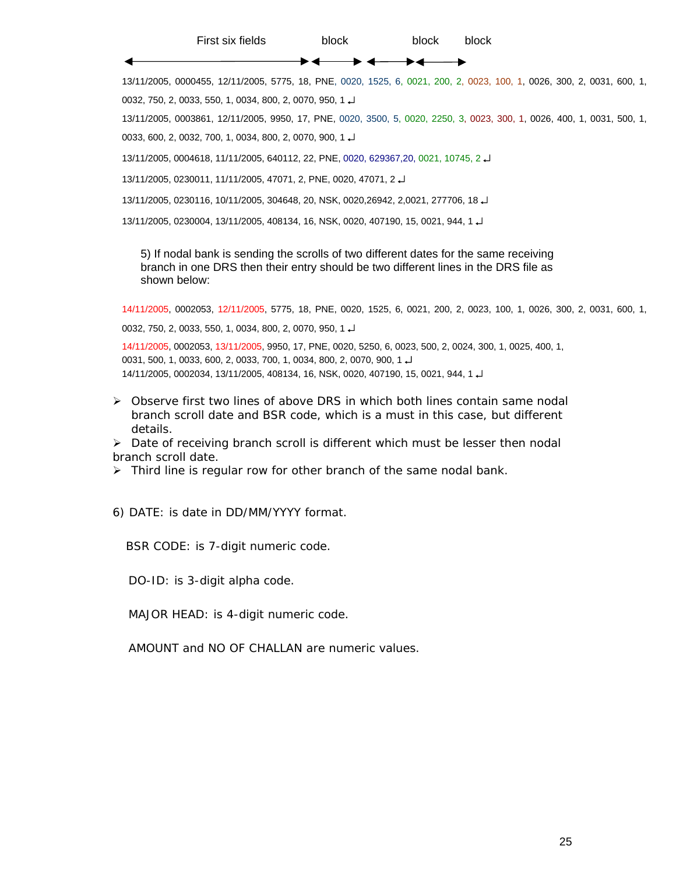First six fields block block block

◀ ▶◀

13/11/2005, 0000455, 12/11/2005, 5775, 18, PNE, 0020, 1525, 6, 0021, 200, 2, 0023, 100, 1, 0026, 300, 2, 0031, 600, 1, 0032, 750, 2, 0033, 550, 1, 0034, 800, 2, 0070, 950, 1 ↵

13/11/2005, 0003861, 12/11/2005, 9950, 17, PNE, 0020, 3500, 5, 0020, 2250, 3, 0023, 300, 1, 0026, 400, 1, 0031, 500, 1, 0033, 600, 2, 0032, 700, 1, 0034, 800, 2, 0070, 900, 1 ↵

13/11/2005, 0004618, 11/11/2005, 640112, 22, PNE, 0020, 629367,20, 0021, 10745, 2 ↵

13/11/2005, 0230011, 11/11/2005, 47071, 2, PNE, 0020, 47071, 2 ↵

13/11/2005, 0230116, 10/11/2005, 304648, 20, NSK, 0020,26942, 2,0021, 277706, 18 ↵

13/11/2005, 0230004, 13/11/2005, 408134, 16, NSK, 0020, 407190, 15, 0021, 944, 1 ↵

5) If nodal bank is sending the scrolls of two different dates for the same receiving branch in one DRS then their entry should be two different lines in the DRS file as shown below:

14/11/2005, 0002053, 12/11/2005, 5775, 18, PNE, 0020, 1525, 6, 0021, 200, 2, 0023, 100, 1, 0026, 300, 2, 0031, 600, 1,

0032, 750, 2, 0033, 550, 1, 0034, 800, 2, 0070, 950, 1 ↵

14/11/2005, 0002053, 13/11/2005, 9950, 17, PNE, 0020, 5250, 6, 0023, 500, 2, 0024, 300, 1, 0025, 400, 1, 0031, 500, 1, 0033, 600, 2, 0033, 700, 1, 0034, 800, 2, 0070, 900, 1 ↵ 14/11/2005, 0002034, 13/11/2005, 408134, 16, NSK, 0020, 407190, 15, 0021, 944, 1 ↵

¾ Observe first two lines of above DRS in which both lines contain same nodal branch scroll date and BSR code, which is a must in this case, but different details.

 $\triangleright$  Date of receiving branch scroll is different which must be lesser then nodal branch scroll date.

 $\triangleright$  Third line is regular row for other branch of the same nodal bank.

6) DATE: is date in DD/MM/YYYY format.

BSR CODE: is 7-digit numeric code.

DO-ID: is 3-digit alpha code.

MAJOR HEAD: is 4-digit numeric code.

AMOUNT and NO OF CHALLAN are numeric values.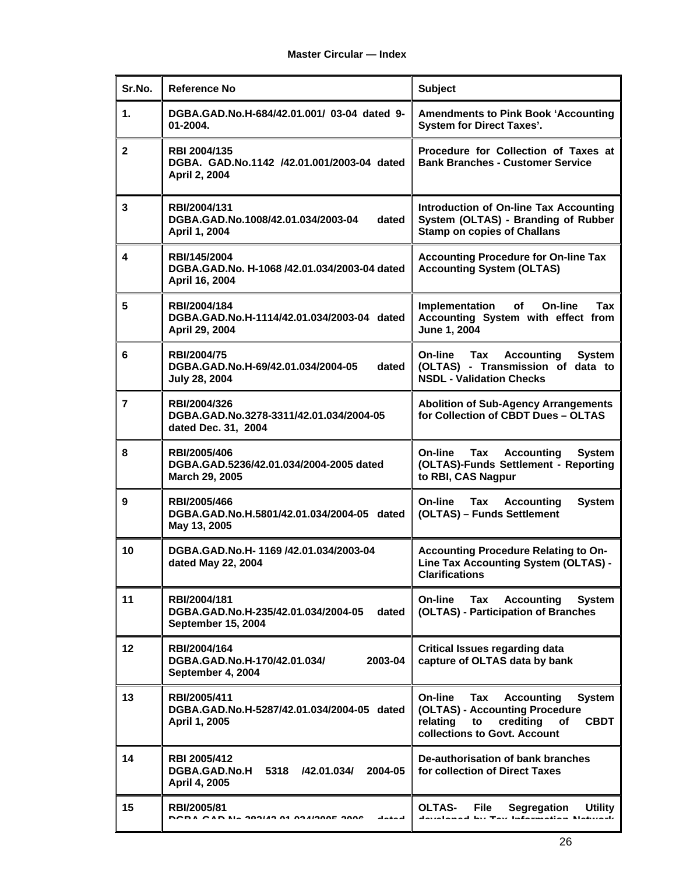| Sr.No.         | <b>Reference No</b>                                                                  | <b>Subject</b>                                                                                                                                                             |  |
|----------------|--------------------------------------------------------------------------------------|----------------------------------------------------------------------------------------------------------------------------------------------------------------------------|--|
| 1.             | DGBA.GAD.No.H-684/42.01.001/ 03-04 dated 9-<br>01-2004.                              | <b>Amendments to Pink Book 'Accounting</b><br><b>System for Direct Taxes'.</b>                                                                                             |  |
| $\mathbf{2}$   | RBI 2004/135<br>DGBA. GAD.No.1142 /42.01.001/2003-04 dated<br>April 2, 2004          | Procedure for Collection of Taxes at<br><b>Bank Branches - Customer Service</b>                                                                                            |  |
| 3              | <b>RBI/2004/131</b><br>DGBA.GAD.No.1008/42.01.034/2003-04<br>dated<br>April 1, 2004  | Introduction of On-line Tax Accounting<br>System (OLTAS) - Branding of Rubber<br><b>Stamp on copies of Challans</b>                                                        |  |
| 4              | RBI/145/2004<br>DGBA.GAD.No. H-1068 /42.01.034/2003-04 dated<br>April 16, 2004       | <b>Accounting Procedure for On-line Tax</b><br><b>Accounting System (OLTAS)</b>                                                                                            |  |
| 5              | RBI/2004/184<br>DGBA.GAD.No.H-1114/42.01.034/2003-04 dated<br>April 29, 2004         | Implementation<br>of<br>On-line<br>Tax<br>Accounting System with effect from<br>June 1, 2004                                                                               |  |
| 6              | RBI/2004/75<br>DGBA.GAD.No.H-69/42.01.034/2004-05<br>dated<br>July 28, 2004          | On-line<br>Tax<br><b>Accounting</b><br><b>System</b><br>(OLTAS) - Transmission of data to<br><b>NSDL - Validation Checks</b>                                               |  |
| $\overline{7}$ | RBI/2004/326<br>DGBA.GAD.No.3278-3311/42.01.034/2004-05<br>dated Dec. 31, 2004       | <b>Abolition of Sub-Agency Arrangements</b><br>for Collection of CBDT Dues - OLTAS                                                                                         |  |
| 8              | RBI/2005/406<br>DGBA.GAD.5236/42.01.034/2004-2005 dated<br>March 29, 2005            | On-line<br><b>Accounting</b><br>Tax<br><b>System</b><br>(OLTAS)-Funds Settlement - Reporting<br>to RBI, CAS Nagpur                                                         |  |
| 9              | RBI/2005/466<br>DGBA.GAD.No.H.5801/42.01.034/2004-05 dated<br>May 13, 2005           | <b>System</b><br><b>Tax Accounting</b><br>On-line<br>(OLTAS) - Funds Settlement                                                                                            |  |
| 10             | DGBA.GAD.No.H-1169 /42.01.034/2003-04<br>dated May 22, 2004                          | Accounting Procedure Relating to On-<br>Line Tax Accounting System (OLTAS) -<br><b>Clarifications</b>                                                                      |  |
| 11             | RBI/2004/181<br>DGBA.GAD.No.H-235/42.01.034/2004-05<br>dated<br>September 15, 2004   | On-line<br>Tax<br><b>Accounting</b><br><b>System</b><br>(OLTAS) - Participation of Branches                                                                                |  |
| 12             | RBI/2004/164<br>DGBA.GAD.No.H-170/42.01.034/<br>2003-04<br>September 4, 2004         | <b>Critical Issues regarding data</b><br>capture of OLTAS data by bank                                                                                                     |  |
| 13             | RBI/2005/411<br>DGBA.GAD.No.H-5287/42.01.034/2004-05 dated<br>April 1, 2005          | On-line<br>Tax<br><b>Accounting</b><br><b>System</b><br>(OLTAS) - Accounting Procedure<br>relating<br>crediting<br><b>CBDT</b><br>to<br>of<br>collections to Govt. Account |  |
| 14             | RBI 2005/412<br><b>DGBA.GAD.No.H</b><br>5318 /42.01.034/<br>2004-05<br>April 4, 2005 | De-authorisation of bank branches<br>for collection of Direct Taxes                                                                                                        |  |
| 15             | RBI/2005/81<br>DODA OAD NA DOOIAD DA DOAIDDDE DODE<br>أممةماء                        | OLTAS-<br>File :<br><b>Segregation</b><br><b>Utility</b>                                                                                                                   |  |